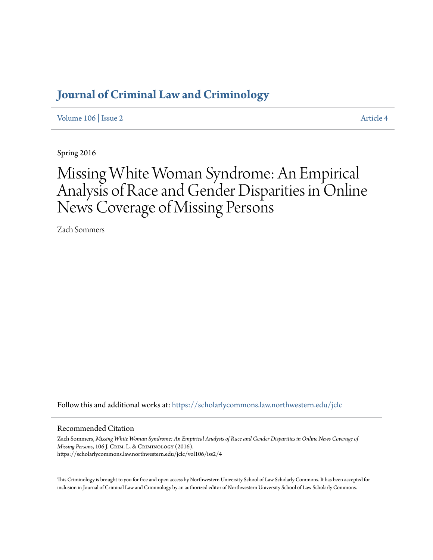# **[Journal of Criminal Law and Criminology](https://scholarlycommons.law.northwestern.edu/jclc?utm_source=scholarlycommons.law.northwestern.edu%2Fjclc%2Fvol106%2Fiss2%2F4&utm_medium=PDF&utm_campaign=PDFCoverPages)**

[Volume 106](https://scholarlycommons.law.northwestern.edu/jclc/vol106?utm_source=scholarlycommons.law.northwestern.edu%2Fjclc%2Fvol106%2Fiss2%2F4&utm_medium=PDF&utm_campaign=PDFCoverPages) | [Issue 2](https://scholarlycommons.law.northwestern.edu/jclc/vol106/iss2?utm_source=scholarlycommons.law.northwestern.edu%2Fjclc%2Fvol106%2Fiss2%2F4&utm_medium=PDF&utm_campaign=PDFCoverPages) [Article 4](https://scholarlycommons.law.northwestern.edu/jclc/vol106/iss2/4?utm_source=scholarlycommons.law.northwestern.edu%2Fjclc%2Fvol106%2Fiss2%2F4&utm_medium=PDF&utm_campaign=PDFCoverPages)

Spring 2016

# Missing White Woman Syndrome: An Empirical Analysis of Race and Gender Disparities in Online News Coverage of Missing Persons

Zach Sommers

Follow this and additional works at: [https://scholarlycommons.law.northwestern.edu/jclc](https://scholarlycommons.law.northwestern.edu/jclc?utm_source=scholarlycommons.law.northwestern.edu%2Fjclc%2Fvol106%2Fiss2%2F4&utm_medium=PDF&utm_campaign=PDFCoverPages)

## Recommended Citation

Zach Sommers, *Missing White Woman Syndrome: An Empirical Analysis of Race and Gender Disparities in Online News Coverage of Missing Persons*, 106 J. Crim. L. & Criminology (2016). https://scholarlycommons.law.northwestern.edu/jclc/vol106/iss2/4

This Criminology is brought to you for free and open access by Northwestern University School of Law Scholarly Commons. It has been accepted for inclusion in Journal of Criminal Law and Criminology by an authorized editor of Northwestern University School of Law Scholarly Commons.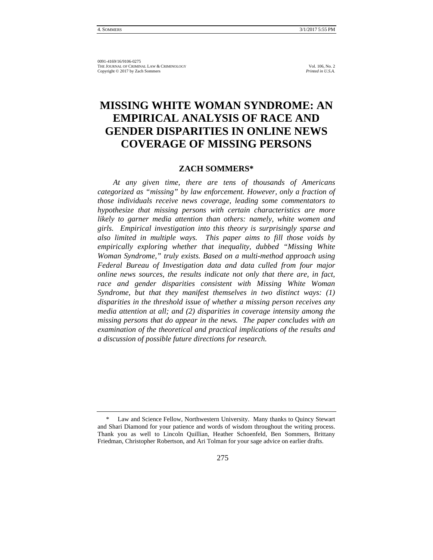# **MISSING WHITE WOMAN SYNDROME: AN EMPIRICAL ANALYSIS OF RACE AND GENDER DISPARITIES IN ONLINE NEWS COVERAGE OF MISSING PERSONS**

# **ZACH SOMMERS\***

*At any given time, there are tens of thousands of Americans categorized as "missing" by law enforcement. However, only a fraction of those individuals receive news coverage, leading some commentators to hypothesize that missing persons with certain characteristics are more likely to garner media attention than others: namely, white women and girls. Empirical investigation into this theory is surprisingly sparse and also limited in multiple ways. This paper aims to fill those voids by empirically exploring whether that inequality, dubbed "Missing White Woman Syndrome," truly exists. Based on a multi-method approach using Federal Bureau of Investigation data and data culled from four major online news sources, the results indicate not only that there are, in fact, race and gender disparities consistent with Missing White Woman Syndrome, but that they manifest themselves in two distinct ways: (1) disparities in the threshold issue of whether a missing person receives any media attention at all; and (2) disparities in coverage intensity among the missing persons that do appear in the news. The paper concludes with an examination of the theoretical and practical implications of the results and a discussion of possible future directions for research.*

Law and Science Fellow, Northwestern University. Many thanks to Quincy Stewart and Shari Diamond for your patience and words of wisdom throughout the writing process. Thank you as well to Lincoln Quillian, Heather Schoenfeld, Ben Sommers, Brittany Friedman, Christopher Robertson, and Ari Tolman for your sage advice on earlier drafts.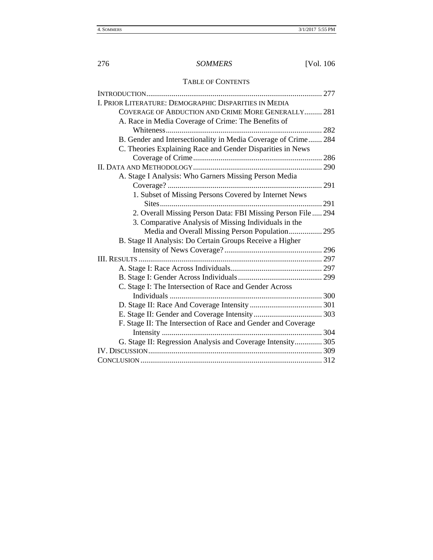# 276 *SOMMERS* [Vol. 106

# TABLE OF CONTENTS

| I. PRIOR LITERATURE: DEMOGRAPHIC DISPARITIES IN MEDIA          |     |
|----------------------------------------------------------------|-----|
| COVERAGE OF ABDUCTION AND CRIME MORE GENERALLY 281             |     |
| A. Race in Media Coverage of Crime: The Benefits of            |     |
|                                                                | 282 |
| B. Gender and Intersectionality in Media Coverage of Crime 284 |     |
| C. Theories Explaining Race and Gender Disparities in News     |     |
|                                                                |     |
|                                                                |     |
| A. Stage I Analysis: Who Garners Missing Person Media          |     |
|                                                                |     |
| 1. Subset of Missing Persons Covered by Internet News          |     |
|                                                                | 291 |
| 2. Overall Missing Person Data: FBI Missing Person File 294    |     |
| 3. Comparative Analysis of Missing Individuals in the          |     |
| Media and Overall Missing Person Population 295                |     |
| B. Stage II Analysis: Do Certain Groups Receive a Higher       |     |
|                                                                |     |
|                                                                |     |
|                                                                |     |
|                                                                |     |
| C. Stage I: The Intersection of Race and Gender Across         |     |
|                                                                |     |
|                                                                |     |
|                                                                |     |
| F. Stage II: The Intersection of Race and Gender and Coverage  |     |
|                                                                |     |
| G. Stage II: Regression Analysis and Coverage Intensity 305    |     |
|                                                                |     |
|                                                                |     |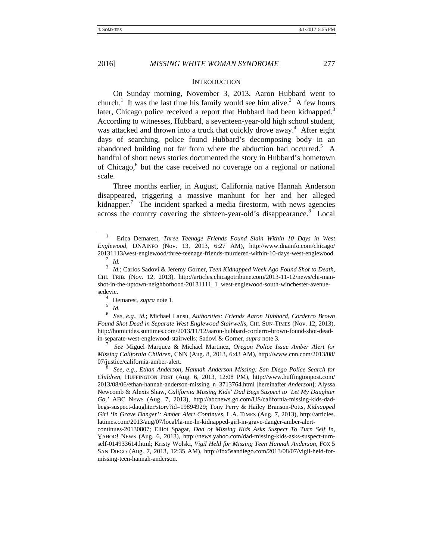#### **INTRODUCTION**

On Sunday morning, November 3, 2013, Aaron Hubbard went to church.<sup>1</sup> It was the last time his family would see him alive.<sup>2</sup> A few hours later, Chicago police received a report that Hubbard had been kidnapped.<sup>3</sup> According to witnesses, Hubbard, a seventeen-year-old high school student, was attacked and thrown into a truck that quickly drove away.<sup>4</sup> After eight days of searching, police found Hubbard's decomposing body in an abandoned building not far from where the abduction had occurred.<sup>5</sup> A handful of short news stories documented the story in Hubbard's hometown of Chicago,<sup>6</sup> but the case received no coverage on a regional or national scale.

Three months earlier, in August, California native Hannah Anderson disappeared, triggering a massive manhunt for her and her alleged kidnapper.<sup>7</sup> The incident sparked a media firestorm, with news agencies across the country covering the sixteen-year-old's disappearance.<sup>8</sup> Local

<sup>1</sup> Erica Demarest, *Three Teenage Friends Found Slain Within 10 Days in West Englewood*, DNAINFO (Nov. 13, 2013, 6:27 AM), http://www.dnainfo.com/chicago/ 20131113/west-englewood/three-teenage-friends-murdered-within-10-days-west-englewood. 2 *Id.*

<sup>3</sup> *Id.*; Carlos Sadovi & Jeremy Gorner, *Teen Kidnapped Week Ago Found Shot to Death*, CHI. TRIB. (Nov. 12, 2013), http://articles.chicagotribune.com/2013-11-12/news/chi-manshot-in-the-uptown-neighborhood-20131111\_1\_west-englewood-south-winchester-avenuesedevic.<br>
<sup>4</sup> Demarest, *supra* note 1.<br>
<sup>5</sup> *Id.*<br>
<sup>6</sup> See a. 3 *id*: Michael 1

<sup>6</sup> *See, e.g.*, *id.*; Michael Lansu, *Authorities: Friends Aaron Hubbard, Corderro Brown Found Shot Dead in Separate West Englewood Stairwells*, CHI. SUN-TIMES (Nov. 12, 2013), http://homicides.suntimes.com/2013/11/12/aaron-hubbard-corderro-brown-found-shot-deadin-separate-west-englewood-stairwells; Sadovi & Gorner, *supra* note 3. 7 *See* Miguel Marquez & Michael Martinez, *Oregon Police Issue Amber Alert for* 

*Missing California Children*, CNN (Aug. 8, 2013, 6:43 AM), http://www.cnn.com/2013/08/ 07/justice/california-amber-alert. 8 *See, e.g.*, *Ethan Anderson, Hannah Anderson Missing: San Diego Police Search for* 

*Children*, HUFFINGTON POST (Aug. 6, 2013, 12:08 PM), http://www.huffingtonpost.com/ 2013/08/06/ethan-hannah-anderson-missing\_n\_3713764.html [hereinafter *Anderson*]; Alyssa Newcomb & Alexis Shaw, *California Missing Kids' Dad Begs Suspect to 'Let My Daughter Go*,*'* ABC NEWS (Aug. 7, 2013), http://abcnews.go.com/US/california-missing-kids-dadbegs-suspect-daughter/story?id=19894929; Tony Perry & Hailey Branson-Potts, *Kidnapped Girl 'In Grave Danger': Amber Alert Continues*, L.A. TIMES (Aug. 7, 2013), http://articles. latimes.com/2013/aug/07/local/la-me-ln-kidnapped-girl-in-grave-danger-amber-alert-

continues-20130807; Elliot Spagat, *Dad of Missing Kids Asks Suspect To Turn Self In*, YAHOO! NEWS (Aug. 6, 2013), http://news.yahoo.com/dad-missing-kids-asks-suspect-turnself-014933614.html; Kristy Wolski, *Vigil Held for Missing Teen Hannah Anderson*, FOX 5 SAN DIEGO (Aug. 7, 2013, 12:35 AM), http://fox5sandiego.com/2013/08/07/vigil-held-formissing-teen-hannah-anderson.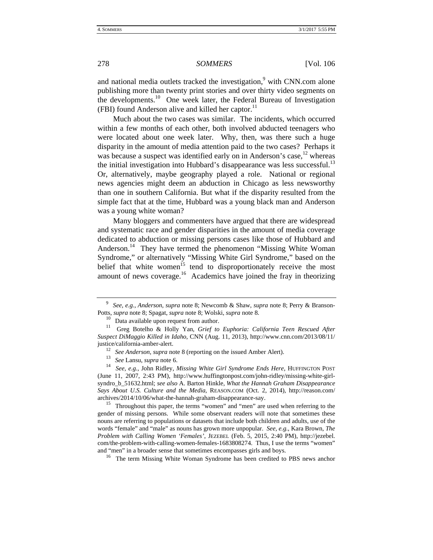and national media outlets tracked the investigation,<sup>9</sup> with CNN.com alone publishing more than twenty print stories and over thirty video segments on the developments.<sup>10</sup> One week later, the Federal Bureau of Investigation (FBI) found Anderson alive and killed her captor. $^{11}$ 

Much about the two cases was similar. The incidents, which occurred within a few months of each other, both involved abducted teenagers who were located about one week later. Why, then, was there such a huge disparity in the amount of media attention paid to the two cases? Perhaps it was because a suspect was identified early on in Anderson's case,  $^{12}$  whereas the initial investigation into Hubbard's disappearance was less successful.<sup>13</sup> Or, alternatively, maybe geography played a role. National or regional news agencies might deem an abduction in Chicago as less newsworthy than one in southern California. But what if the disparity resulted from the simple fact that at the time, Hubbard was a young black man and Anderson was a young white woman?

Many bloggers and commenters have argued that there are widespread and systematic race and gender disparities in the amount of media coverage dedicated to abduction or missing persons cases like those of Hubbard and Anderson.<sup>14</sup> They have termed the phenomenon "Missing White Woman Syndrome," or alternatively "Missing White Girl Syndrome," based on the belief that white women<sup>15</sup> tend to disproportionately receive the most amount of news coverage.<sup>16</sup> Academics have joined the fray in theorizing

gender of missing persons. While some observant readers will note that sometimes these nouns are referring to populations or datasets that include both children and adults, use of the words "female" and "male" as nouns has grown more unpopular. *See, e.g.*, Kara Brown, *The Problem with Calling Women 'Females'*, JEZEBEL (Feb. 5, 2015, 2:40 PM), http://jezebel. com/the-problem-with-calling-women-females-1683808274. Thus, I use the terms "women" and "men" in a broader sense that sometimes encompasses girls and boys.<br><sup>16</sup> The term Missing White Woman Syndrome has been credited to PBS news anchor

<sup>9</sup> *See, e.g.*, *Anderson*, *supra* note 8; Newcomb & Shaw, *supra* note 8; Perry & Branson-Potts, *supra* note 8; Spagat, *supra* note 8; Wolski, *supra* note 8.<br><sup>10</sup> Data available upon request from author.<br><sup>11</sup> Greg Botelho & Holly Yan, *Grief to Euphoria: California Teen Rescued After* 

*Suspect DiMaggio Killed in Idaho*, CNN (Aug. 11, 2013), http://www.cnn.com/2013/08/11/

justice/california-amber-alert.<br>
<sup>12</sup> See Anderson, supra note 8 (reporting on the issued Amber Alert).<br>
<sup>13</sup> See Lansu, supra note 6.<br>
<sup>14</sup> See, e.g., John Ridley, *Missing White Girl Syndrome Ends Here*, HUFFINGTON POST (June 11, 2007, 2:43 PM), http://www.huffingtonpost.com/john-ridley/missing-white-girlsyndro\_b\_51632.html; *see also* A. Barton Hinkle, *What the Hannah Graham Disappearance Says About U.S. Culture and the Media*, REASON.COM (Oct. 2, 2014), http://reason.com/ archives/2014/10/06/what-the-hannah-graham-disappearance-say.<br><sup>15</sup> Throughout this paper, the terms "women" and "men" are used when referring to the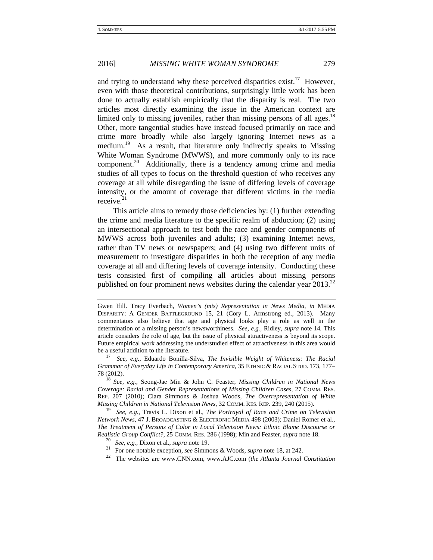and trying to understand why these perceived disparities exist.<sup>17</sup> However, even with those theoretical contributions, surprisingly little work has been done to actually establish empirically that the disparity is real. The two articles most directly examining the issue in the American context are limited only to missing juveniles, rather than missing persons of all ages.<sup>18</sup> Other, more tangential studies have instead focused primarily on race and crime more broadly while also largely ignoring Internet news as a medium.<sup>19</sup> As a result, that literature only indirectly speaks to Missing White Woman Syndrome (MWWS), and more commonly only to its race component.<sup>20</sup> Additionally, there is a tendency among crime and media studies of all types to focus on the threshold question of who receives any coverage at all while disregarding the issue of differing levels of coverage intensity, or the amount of coverage that different victims in the media receive $^{21}$ 

This article aims to remedy those deficiencies by: (1) further extending the crime and media literature to the specific realm of abduction; (2) using an intersectional approach to test both the race and gender components of MWWS across both juveniles and adults; (3) examining Internet news, rather than TV news or newspapers; and (4) using two different units of measurement to investigate disparities in both the reception of any media coverage at all and differing levels of coverage intensity. Conducting these tests consisted first of compiling all articles about missing persons published on four prominent news websites during the calendar year  $2013^{22}$ 

<sup>18</sup> *See, e.g.*, Seong-Jae Min & John C. Feaster, *Missing Children in National News Coverage: Racial and Gender Representations of Missing Children Cases*, 27 COMM. RES. REP. 207 (2010); Clara Simmons & Joshua Woods, *The Overrepresentation of White Missing Children in National Television News*, 32 COMM. RES. REP. 239, 240 (2015).

<sup>19</sup> *See, e.g.*, Travis L. Dixon et al., *The Portrayal of Race and Crime on Television Network News*, 47 J. BROADCASTING & ELECTRONIC MEDIA 498 (2003); Daniel Romer et al., *The Treatment of Persons of Color in Local Television News: Ethnic Blame Discourse or Realistic Group Conflict?*, 25 COMM. RES. 286 (1998); Min and Feaster, *supra* note 18. 20 *See, e.g.*, Dixon et al., *supra* note 19.

<sup>22</sup> The websites are www.CNN.com, www.AJC.com (*the Atlanta Journal Constitution* 

Gwen Ifill. Tracy Everbach, *Women's (mis) Representation in News Media*, *in* MEDIA DISPARITY: A GENDER BATTLEGROUND 15, 21 (Cory L. Armstrong ed., 2013). Many commentators also believe that age and physical looks play a role as well in the determination of a missing person's newsworthiness. *See, e.g.*, Ridley, *supra* note 14*.* This article considers the role of age, but the issue of physical attractiveness is beyond its scope. Future empirical work addressing the understudied effect of attractiveness in this area would be a useful addition to the literature. 17 *See, e.g.*, Eduardo Bonilla-Silva, *The Invisible Weight of Whiteness: The Racial* 

*Grammar of Everyday Life in Contemporary America*, 35 ETHNIC & RACIAL STUD. 173, 177– 78 (2012).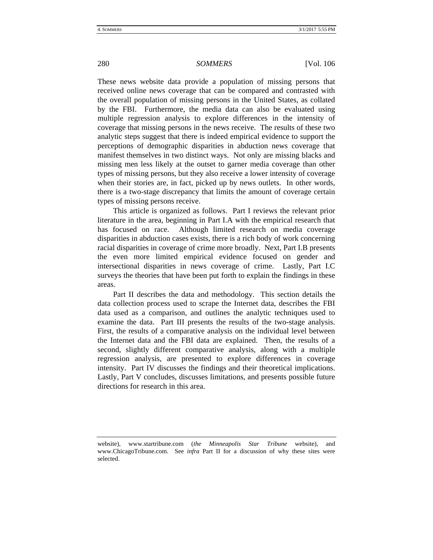#### 280 *SOMMERS* [Vol. 106

These news website data provide a population of missing persons that received online news coverage that can be compared and contrasted with the overall population of missing persons in the United States, as collated by the FBI. Furthermore, the media data can also be evaluated using multiple regression analysis to explore differences in the intensity of coverage that missing persons in the news receive. The results of these two analytic steps suggest that there is indeed empirical evidence to support the perceptions of demographic disparities in abduction news coverage that manifest themselves in two distinct ways. Not only are missing blacks and missing men less likely at the outset to garner media coverage than other types of missing persons, but they also receive a lower intensity of coverage when their stories are, in fact, picked up by news outlets. In other words, there is a two-stage discrepancy that limits the amount of coverage certain types of missing persons receive.

This article is organized as follows. Part I reviews the relevant prior literature in the area, beginning in Part I.A with the empirical research that has focused on race. Although limited research on media coverage disparities in abduction cases exists, there is a rich body of work concerning racial disparities in coverage of crime more broadly. Next, Part I.B presents the even more limited empirical evidence focused on gender and intersectional disparities in news coverage of crime. Lastly, Part I.C surveys the theories that have been put forth to explain the findings in these areas.

Part II describes the data and methodology. This section details the data collection process used to scrape the Internet data, describes the FBI data used as a comparison, and outlines the analytic techniques used to examine the data. Part III presents the results of the two-stage analysis. First, the results of a comparative analysis on the individual level between the Internet data and the FBI data are explained. Then, the results of a second, slightly different comparative analysis, along with a multiple regression analysis, are presented to explore differences in coverage intensity. Part IV discusses the findings and their theoretical implications. Lastly, Part V concludes, discusses limitations, and presents possible future directions for research in this area.

website), www.startribune.com (*the Minneapolis Star Tribune* website), and www.ChicagoTribune.com. See *infra* Part II for a discussion of why these sites were selected.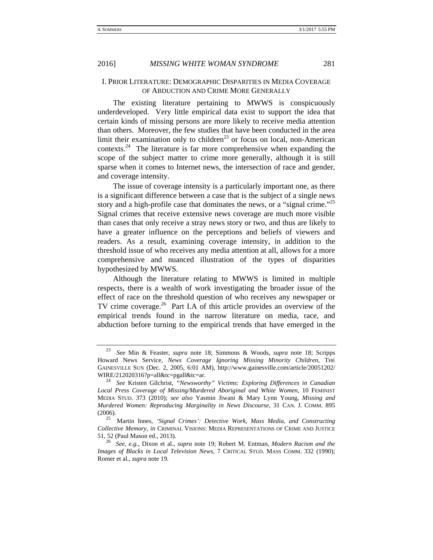# I. PRIOR LITERATURE: DEMOGRAPHIC DISPARITIES IN MEDIA COVERAGE OF ABDUCTION AND CRIME MORE GENERALLY

The existing literature pertaining to MWWS is conspicuously underdeveloped. Very little empirical data exist to support the idea that certain kinds of missing persons are more likely to receive media attention than others. Moreover, the few studies that have been conducted in the area limit their examination only to children<sup>23</sup> or focus on local, non-American contexts.<sup>24</sup> The literature is far more comprehensive when expanding the scope of the subject matter to crime more generally, although it is still sparse when it comes to Internet news, the intersection of race and gender, and coverage intensity.

The issue of coverage intensity is a particularly important one, as there is a significant difference between a case that is the subject of a single news story and a high-profile case that dominates the news, or a "signal crime."<sup>25</sup> Signal crimes that receive extensive news coverage are much more visible than cases that only receive a stray news story or two, and thus are likely to have a greater influence on the perceptions and beliefs of viewers and readers. As a result, examining coverage intensity, in addition to the threshold issue of who receives any media attention at all, allows for a more comprehensive and nuanced illustration of the types of disparities hypothesized by MWWS.

Although the literature relating to MWWS is limited in multiple respects, there is a wealth of work investigating the broader issue of the effect of race on the threshold question of who receives any newspaper or TV crime coverage. $26$  Part I.A of this article provides an overview of the empirical trends found in the narrow literature on media, race, and abduction before turning to the empirical trends that have emerged in the

<sup>23</sup> *See* Min & Feaster, *supra* note 18; Simmons & Woods, *supra* note 18; Scripps Howard News Service, *News Coverage Ignoring Missing Minority Children*, THE GAINESVILLE SUN (Dec. 2, 2005, 6:01 AM), http://www.gainesville.com/article/20051202/ WIRE/212020316?p=all&tc=pgall&tc=ar. 24 *See* Kristen Gilchrist, *"Newsworthy" Victims: Exploring Differences in Canadian* 

*Local Press Coverage of Missing/Murdered Aboriginal and White Women*, 10 FEMINIST MEDIA STUD. 373 (2010); *see also* Yasmin Jiwani & Mary Lynn Young, *Missing and Murdered Women: Reproducing Marginality in News Discourse*, 31 CAN. J. COMM. 895 (2006). 25 Martin Innes, *'Signal Crimes': Detective Work, Mass Media, and Constructing* 

*Collective Memory*, *in* CRIMINAL VISIONS: MEDIA REPRESENTATIONS OF CRIME AND JUSTICE 51, 52 (Paul Mason ed., 2013). <sup>26</sup> *See, e.g.*, Dixon et al., *supra* note 19; Robert M. Entman, *Modern Racism and the* 

*Images of Blacks in Local Television News*, 7 CRITICAL STUD. MASS COMM. 332 (1990); Romer et al., *supra* note 19.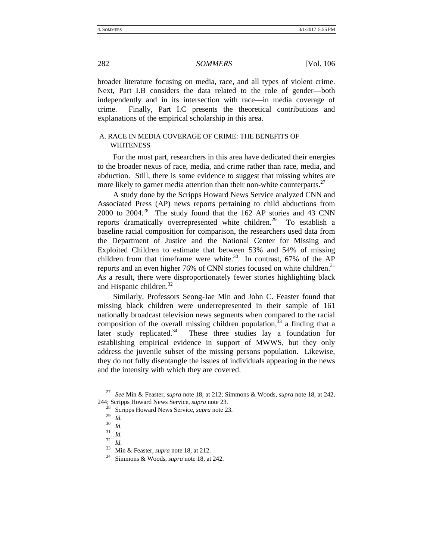broader literature focusing on media, race, and all types of violent crime. Next, Part I.B considers the data related to the role of gender—both independently and in its intersection with race—in media coverage of crime. Finally, Part I.C presents the theoretical contributions and explanations of the empirical scholarship in this area.

# A. RACE IN MEDIA COVERAGE OF CRIME: THE BENEFITS OF WHITENESS

For the most part, researchers in this area have dedicated their energies to the broader nexus of race, media, and crime rather than race, media, and abduction. Still, there is some evidence to suggest that missing whites are more likely to garner media attention than their non-white counterparts.<sup>27</sup>

A study done by the Scripps Howard News Service analyzed CNN and Associated Press (AP) news reports pertaining to child abductions from 2000 to 2004.<sup>28</sup> The study found that the 162 AP stories and 43 CNN reports dramatically overrepresented white children.<sup>29</sup> To establish a baseline racial composition for comparison, the researchers used data from the Department of Justice and the National Center for Missing and Exploited Children to estimate that between 53% and 54% of missing children from that timeframe were white.<sup>30</sup> In contrast, 67% of the AP reports and an even higher 76% of CNN stories focused on white children.<sup>31</sup> As a result, there were disproportionately fewer stories highlighting black and Hispanic children. $32$ 

Similarly, Professors Seong-Jae Min and John C. Feaster found that missing black children were underrepresented in their sample of 161 nationally broadcast television news segments when compared to the racial composition of the overall missing children population,  $33$  a finding that a later study replicated.<sup>34</sup> These three studies lay a foundation for establishing empirical evidence in support of MWWS, but they only address the juvenile subset of the missing persons population. Likewise, they do not fully disentangle the issues of individuals appearing in the news and the intensity with which they are covered.

<sup>27</sup> *See* Min & Feaster, *supra* note 18, at 212; Simmons & Woods, *supra* note 18, at 242, 244; Scripps Howard News Service, *supra* note 23. 28 Scripps Howard News Service, *supra* note 23.

 $\frac{29}{30}$  *Id.* 

 $rac{30}{31}$  *Id.*<br> $rac{31}{32}$  *Id.* 

 $rac{32}{33}$  *Id.* 

<sup>33</sup> Min & Feaster, *supra* note 18, at 212. 34 Simmons & Woods, *supra* note 18, at 242.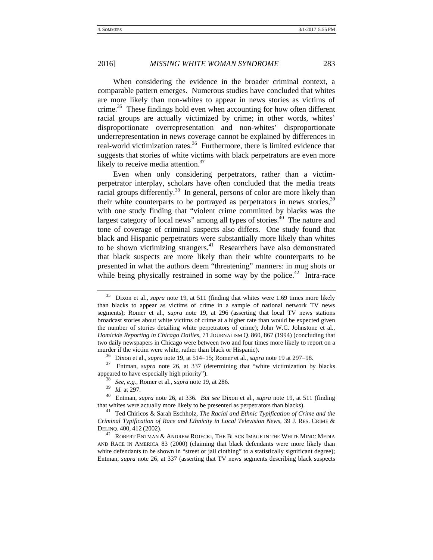When considering the evidence in the broader criminal context, a comparable pattern emerges. Numerous studies have concluded that whites are more likely than non-whites to appear in news stories as victims of crime.<sup>35</sup> These findings hold even when accounting for how often different racial groups are actually victimized by crime; in other words, whites' disproportionate overrepresentation and non-whites' disproportionate underrepresentation in news coverage cannot be explained by differences in real-world victimization rates.<sup>36</sup> Furthermore, there is limited evidence that suggests that stories of white victims with black perpetrators are even more likely to receive media attention.<sup>37</sup>

Even when only considering perpetrators, rather than a victimperpetrator interplay, scholars have often concluded that the media treats racial groups differently.<sup>38</sup> In general, persons of color are more likely than their white counterparts to be portrayed as perpetrators in news stories,<sup>39</sup> with one study finding that "violent crime committed by blacks was the largest category of local news" among all types of stories.<sup>40</sup> The nature and tone of coverage of criminal suspects also differs. One study found that black and Hispanic perpetrators were substantially more likely than whites to be shown victimizing strangers.41 Researchers have also demonstrated that black suspects are more likely than their white counterparts to be presented in what the authors deem "threatening" manners: in mug shots or while being physically restrained in some way by the police.<sup> $42$ </sup> Intra-race

<sup>35</sup> Dixon et al., *supra* note 19, at 511 (finding that whites were 1.69 times more likely than blacks to appear as victims of crime in a sample of national network TV news segments); Romer et al., *supra* note 19, at 296 (asserting that local TV news stations broadcast stories about white victims of crime at a higher rate than would be expected given the number of stories detailing white perpetrators of crime); John W.C. Johnstone et al., *Homicide Reporting in Chicago Dailies*, 71 JOURNALISM Q. 860, 867 (1994) (concluding that two daily newspapers in Chicago were between two and four times more likely to report on a murder if the victim were white, rather than black or Hispanic).<br><sup>36</sup> Dixon et al., *supra* note 19, at 514–15; Romer et al., *supra* note 19 at 297–98.<br><sup>37</sup> Entman, *supra* note 26, at 337 (determining that "white victimi

appeared to have especially high priority"). 38 *See, e.g.*, Romer et al., *supra* note 19, at 286.

<sup>&</sup>lt;sup>40</sup> Entman, *supra* note 26, at 336. *But see* Dixon et al., *supra* note 19, at 511 (finding that whites were actually more likely to be presented as perpetrators than blacks). 41 Ted Chiricos & Sarah Eschholz, *The Racial and Ethnic Typification of Crime and the* 

*Criminal Typification of Race and Ethnicity in Local Television News*, 39 J. RES. CRIME &

 $^{42}$  ROBERT ENTMAN & ANDREW ROJECKI, THE BLACK IMAGE IN THE WHITE MIND: MEDIA AND RACE IN AMERICA 83 (2000) (claiming that black defendants were more likely than white defendants to be shown in "street or jail clothing" to a statistically significant degree); Entman, *supra* note 26, at 337 (asserting that TV news segments describing black suspects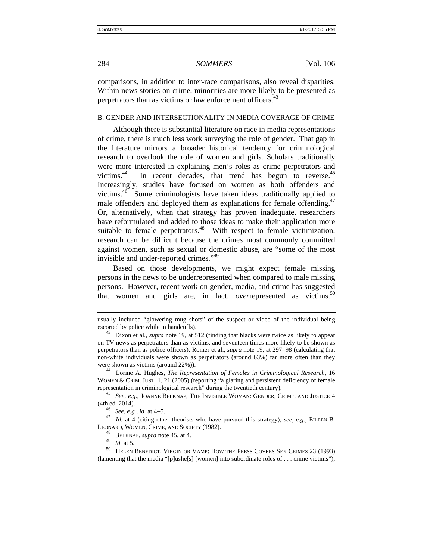comparisons, in addition to inter-race comparisons, also reveal disparities. Within news stories on crime, minorities are more likely to be presented as perpetrators than as victims or law enforcement officers.<sup>43</sup>

# B. GENDER AND INTERSECTIONALITY IN MEDIA COVERAGE OF CRIME

Although there is substantial literature on race in media representations of crime, there is much less work surveying the role of gender. That gap in the literature mirrors a broader historical tendency for criminological research to overlook the role of women and girls. Scholars traditionally were more interested in explaining men's roles as crime perpetrators and victims.<sup>44</sup> In recent decades, that trend has begun to reverse.<sup>45</sup> Increasingly, studies have focused on women as both offenders and victims.46 Some criminologists have taken ideas traditionally applied to male offenders and deployed them as explanations for female offending.<sup>47</sup> Or, alternatively, when that strategy has proven inadequate, researchers have reformulated and added to those ideas to make their application more suitable to female perpetrators.<sup>48</sup> With respect to female victimization, research can be difficult because the crimes most commonly committed against women, such as sexual or domestic abuse, are "some of the most invisible and under-reported crimes."<sup>49</sup>

Based on those developments, we might expect female missing persons in the news to be underrepresented when compared to male missing persons. However, recent work on gender, media, and crime has suggested that women and girls are, in fact, *overrepresented* as victims.<sup>50</sup>

WOMEN & CRIM. JUST. 1, 21 (2005) (reporting "a glaring and persistent deficiency of female representation in criminological research" during the twentieth century). 45 *See, e.g.*, JOANNE BELKNAP, THE INVISIBLE WOMAN: GENDER, CRIME, AND JUSTICE 4

(4th ed. 2014).<br><sup>46</sup> *See, e.g., id.* at 4–5.<br><sup>47</sup> *Id.* at 4 (citing other theorists who have pursued this strategy); *see, e.g.*, EILEEN B. LEONARD, WOMEN, CRIME, AND SOCIETY (1982). 48 BELKNAP, *supra* note 45, at 4.

<sup>50</sup> HELEN BENEDICT, VIRGIN OR VAMP: HOW THE PRESS COVERS SEX CRIMES 23 (1993) (lamenting that the media "[p]ushe[s] [women] into subordinate roles of . . . crime victims");

usually included "glowering mug shots" of the suspect or video of the individual being escorted by police while in handcuffs). 43 Dixon et al., *supra* note 19, at 512 (finding that blacks were twice as likely to appear

on TV news as perpetrators than as victims, and seventeen times more likely to be shown as perpetrators than as police officers); Romer et al., *supra* note 19, at 297–98 (calculating that non-white individuals were shown as perpetrators (around 63%) far more often than they were shown as victims (around 22%)).<br><sup>44</sup> Lorine A. Hughes, *The Representation of Females in Criminological Research*, 16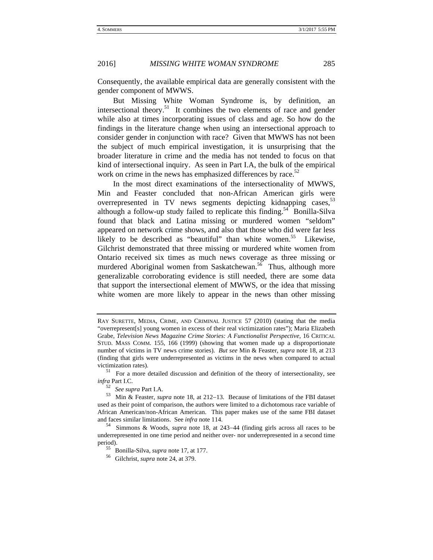Consequently, the available empirical data are generally consistent with the gender component of MWWS.

But Missing White Woman Syndrome is, by definition, an intersectional theory.<sup>51</sup> It combines the two elements of race and gender while also at times incorporating issues of class and age. So how do the findings in the literature change when using an intersectional approach to consider gender in conjunction with race? Given that MWWS has not been the subject of much empirical investigation, it is unsurprising that the broader literature in crime and the media has not tended to focus on that kind of intersectional inquiry. As seen in Part I.A, the bulk of the empirical work on crime in the news has emphasized differences by race. $52$ 

In the most direct examinations of the intersectionality of MWWS, Min and Feaster concluded that non-African American girls were overrepresented in TV news segments depicting kidnapping cases,<sup>53</sup> although a follow-up study failed to replicate this finding.<sup>54</sup> Bonilla-Silva found that black and Latina missing or murdered women "seldom" appeared on network crime shows, and also that those who did were far less likely to be described as "beautiful" than white women.<sup>55</sup> Likewise, Gilchrist demonstrated that three missing or murdered white women from Ontario received six times as much news coverage as three missing or murdered Aboriginal women from Saskatchewan.<sup>56</sup> Thus, although more generalizable corroborating evidence is still needed, there are some data that support the intersectional element of MWWS, or the idea that missing white women are more likely to appear in the news than other missing

RAY SURETTE, MEDIA, CRIME, AND CRIMINAL JUSTICE 57 (2010) (stating that the media "overrepresent[s] young women in excess of their real victimization rates"); Maria Elizabeth Grabe, *Television News Magazine Crime Stories: A Functionalist Perspective*, 16 CRITICAL STUD. MASS COMM. 155, 166 (1999) (showing that women made up a disproportionate number of victims in TV news crime stories). *But see* Min & Feaster, *supra* note 18, at 213 (finding that girls were underrepresented as victims in the news when compared to actual victimization rates).<br><sup>51</sup> For a more detailed discussion and definition of the theory of intersectionality, see

*infra* Part I.C.

<sup>&</sup>lt;sup>53</sup> Min & Feaster, *supra* note 18, at 212–13. Because of limitations of the FBI dataset used as their point of comparison, the authors were limited to a dichotomous race variable of African American/non-African American. This paper makes use of the same FBI dataset and faces similar limitations. See *infra* note 114.<br><sup>54</sup> Simmons & Woods, *supra* note 18, at 243–44 (finding girls across all races to be

underrepresented in one time period and neither over- nor underrepresented in a second time period). 55 Bonilla-Silva, *supra* note 17, at 177. 56 Gilchrist, *supra* note 24, at 379.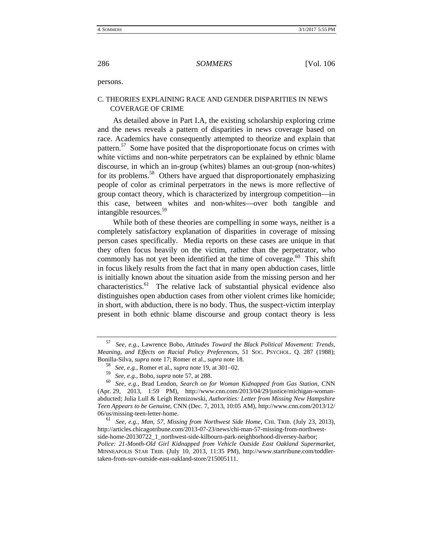persons.

# C. THEORIES EXPLAINING RACE AND GENDER DISPARITIES IN NEWS COVERAGE OF CRIME

As detailed above in Part I.A, the existing scholarship exploring crime and the news reveals a pattern of disparities in news coverage based on race. Academics have consequently attempted to theorize and explain that pattern.<sup>57</sup> Some have posited that the disproportionate focus on crimes with white victims and non-white perpetrators can be explained by ethnic blame discourse, in which an in-group (whites) blames an out-group (non-whites) for its problems.<sup>58</sup> Others have argued that disproportionately emphasizing people of color as criminal perpetrators in the news is more reflective of group contact theory, which is characterized by intergroup competition—in this case, between whites and non-whites—over both tangible and intangible resources.<sup>59</sup>

While both of these theories are compelling in some ways, neither is a completely satisfactory explanation of disparities in coverage of missing person cases specifically. Media reports on these cases are unique in that they often focus heavily on the victim, rather than the perpetrator, who commonly has not yet been identified at the time of coverage.<sup>60</sup> This shift in focus likely results from the fact that in many open abduction cases, little is initially known about the situation aside from the missing person and her  $characteristics.<sup>61</sup>$  The relative lack of substantial physical evidence also distinguishes open abduction cases from other violent crimes like homicide; in short, with abduction, there is no body. Thus, the suspect-victim interplay present in both ethnic blame discourse and group contact theory is less

06/us/missing-teen-letter-home. 61 *See, e.g.*, *Man, 57, Missing from Northwest Side Home*, CHI. TRIB. (July 23, 2013), http://articles.chicagotribune.com/2013-07-23/news/chi-man-57-missing-from-northwestside-home-20130722\_1\_northwest-side-kilbourn-park-neighborhood-diversey-harbor; *Police: 21-Month-Old Girl Kidnapped from Vehicle Outside East Oakland Supermarket*, MINNEAPOLIS STAR TRIB. (July 10, 2013, 11:35 PM), http://www.startribune.com/toddlertaken-from-suv-outside-east-oakland-store/215005111.

<sup>57</sup> *See, e.g.*, Lawrence Bobo, *Attitudes Toward the Black Political Movement: Trends, Meaning, and Effects on Racial Policy Preferences*, 51 SOC. PSYCHOL. Q. 287 (1988); Bonilla-Silva, *supra* note 17; Romer et al., *supra* note 18.<br><sup>58</sup> *See, e.g.*, Romer et al., *supra* note 19, at 301–02.

<sup>59</sup> *See, e.g.*, Bobo, *supra* note 57, at 288.

<sup>60</sup> *See, e.g.*, Brad Lendon, *Search on for Woman Kidnapped from Gas Station*, CNN (Apr. 29, 2013, 1:59 PM), http://www.cnn.com/2013/04/29/justice/michigan-womanabducted; Julia Lull & Leigh Remizowski, *Authorities: Letter from Missing New Hampshire Teen Appears to be Genuine*, CNN (Dec. 7, 2013, 10:05 AM), http://www.cnn.com/2013/12/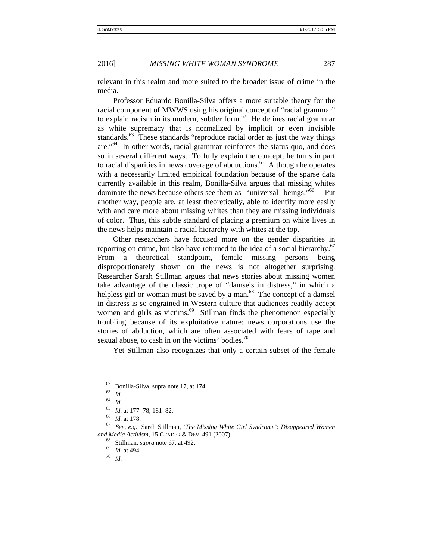relevant in this realm and more suited to the broader issue of crime in the media.

Professor Eduardo Bonilla-Silva offers a more suitable theory for the racial component of MWWS using his original concept of "racial grammar" to explain racism in its modern, subtler form.<sup>62</sup> He defines racial grammar as white supremacy that is normalized by implicit or even invisible standards. $63$  These standards "reproduce racial order as just the way things are."64 In other words, racial grammar reinforces the status quo, and does so in several different ways. To fully explain the concept, he turns in part to racial disparities in news coverage of abductions.<sup>65</sup> Although he operates with a necessarily limited empirical foundation because of the sparse data currently available in this realm, Bonilla-Silva argues that missing whites dominate the news because others see them as "universal beings."<sup>66</sup> Put another way, people are, at least theoretically, able to identify more easily with and care more about missing whites than they are missing individuals of color. Thus, this subtle standard of placing a premium on white lives in the news helps maintain a racial hierarchy with whites at the top.

Other researchers have focused more on the gender disparities in reporting on crime, but also have returned to the idea of a social hierarchy.<sup>67</sup> From a theoretical standpoint, female missing persons being disproportionately shown on the news is not altogether surprising. Researcher Sarah Stillman argues that news stories about missing women take advantage of the classic trope of "damsels in distress," in which a helpless girl or woman must be saved by a man. $68$  The concept of a damsel in distress is so engrained in Western culture that audiences readily accept women and girls as victims.<sup>69</sup> Stillman finds the phenomenon especially troubling because of its exploitative nature: news corporations use the stories of abduction, which are often associated with fears of rape and sexual abuse, to cash in on the victims' bodies. $\frac{70}{2}$ 

Yet Stillman also recognizes that only a certain subset of the female

<sup>62</sup> Bonilla-Silva*,* supra note 17, at 174. 63 *Id.* <sup>64</sup> *Id.*

<sup>&</sup>lt;sup>65</sup> *Id.* at 177–78, 181–82.<br><sup>66</sup> *Id.* at 178.<br><sup>67</sup> *See, e.g.*, Sarah Stillman, *'The Missing White Girl Syndrome': Disappeared Women and Media Activism*, 15 GENDER & DEV. 491 (2007).<br><sup>68</sup> Stillman, *supra* note 67, at 492.<br><sup>69</sup> *Id.* at 494.<br><sup>70</sup> *Id.*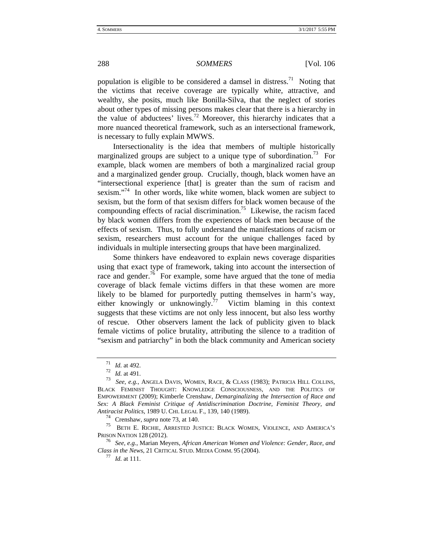#### 288 *SOMMERS* [Vol. 106

population is eligible to be considered a damsel in distress.<sup>71</sup> Noting that the victims that receive coverage are typically white, attractive, and wealthy, she posits, much like Bonilla-Silva, that the neglect of stories about other types of missing persons makes clear that there is a hierarchy in the value of abductees' lives.<sup>72</sup> Moreover, this hierarchy indicates that a more nuanced theoretical framework, such as an intersectional framework, is necessary to fully explain MWWS.

Intersectionality is the idea that members of multiple historically marginalized groups are subject to a unique type of subordination.<sup>73</sup> For example, black women are members of both a marginalized racial group and a marginalized gender group. Crucially, though, black women have an "intersectional experience [that] is greater than the sum of racism and sexism."<sup>74</sup> In other words, like white women, black women are subject to sexism, but the form of that sexism differs for black women because of the compounding effects of racial discrimination.<sup>75</sup> Likewise, the racism faced by black women differs from the experiences of black men because of the effects of sexism. Thus, to fully understand the manifestations of racism or sexism, researchers must account for the unique challenges faced by individuals in multiple intersecting groups that have been marginalized.

Some thinkers have endeavored to explain news coverage disparities using that exact type of framework, taking into account the intersection of race and gender.<sup>76</sup> For example, some have argued that the tone of media coverage of black female victims differs in that these women are more likely to be blamed for purportedly putting themselves in harm's way, either knowingly or unknowingly.<sup>77</sup> Victim blaming in this context suggests that these victims are not only less innocent, but also less worthy of rescue. Other observers lament the lack of publicity given to black female victims of police brutality, attributing the silence to a tradition of "sexism and patriarchy" in both the black community and American society

<sup>&</sup>lt;sup>71</sup> *Id.* at 492.<br><sup>72</sup> *Id.* at 491.<br><sup>73</sup> *See, e.g.*, ANGELA DAVIS, WOMEN, RACE, & CLASS (1983); PATRICIA HILL COLLINS, BLACK FEMINIST THOUGHT: KNOWLEDGE CONSCIOUSNESS, AND THE POLITICS OF EMPOWERMENT (2009); Kimberle Crenshaw, *Demarginalizing the Intersection of Race and Sex: A Black Feminist Critique of Antidiscrimination Doctrine, Feminist Theory, and Antiracist Politics*, 1989 U. CHI. LEGAL F., 139, 140 (1989).<br><sup>74</sup> Crenshaw, *supra* note 73, at 140.<br><sup>75</sup> BETH E. RICHIE, ARRESTED JUSTICE: BLACK WOMEN, VIOLENCE, AND AMERICA'S

PRISON NATION 128 (2012). 76 *See, e.g.*, Marian Meyers, *African American Women and Violence: Gender, Race, and* 

*Class in the News*, 21 CRITICAL STUD. MEDIA COMM. 95 (2004).  $^{77}$  *Id.* at 111.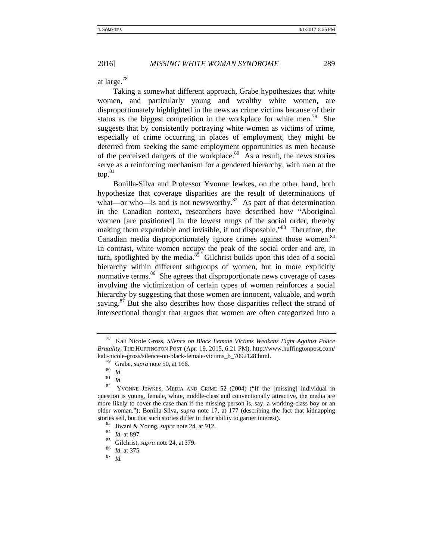at large.<sup>78</sup>

Taking a somewhat different approach, Grabe hypothesizes that white women, and particularly young and wealthy white women, are disproportionately highlighted in the news as crime victims because of their status as the biggest competition in the workplace for white men.<sup>79</sup> She suggests that by consistently portraying white women as victims of crime, especially of crime occurring in places of employment, they might be deterred from seeking the same employment opportunities as men because of the perceived dangers of the workplace. $80$  As a result, the news stories serve as a reinforcing mechanism for a gendered hierarchy, with men at the top.<sup>81</sup>

Bonilla-Silva and Professor Yvonne Jewkes, on the other hand, both hypothesize that coverage disparities are the result of determinations of what—or who—is and is not newsworthy. $82$  As part of that determination in the Canadian context, researchers have described how "Aboriginal women [are positioned] in the lowest rungs of the social order, thereby making them expendable and invisible, if not disposable."<sup>83</sup> Therefore, the Canadian media disproportionately ignore crimes against those women.<sup>84</sup> In contrast, white women occupy the peak of the social order and are, in turn, spotlighted by the media. $85$  Gilchrist builds upon this idea of a social hierarchy within different subgroups of women, but in more explicitly normative terms. $86$  She agrees that disproportionate news coverage of cases involving the victimization of certain types of women reinforces a social hierarchy by suggesting that those women are innocent, valuable, and worth saving. $8^7$  But she also describes how those disparities reflect the strand of intersectional thought that argues that women are often categorized into a

<sup>78</sup> Kali Nicole Gross, *Silence on Black Female Victims Weakens Fight Against Police Brutality*, THE HUFFINGTON POST (Apr. 19, 2015, 6:21 PM), http://www.huffingtonpost.com/ kali-nicole-gross/silence-on-black-female-victims\_b\_7092128.html.<br><sup>79</sup> Grabe, *supra* note 50, at 166.<br><sup>80</sup> *Id.* 81 *Id.* 82 MONNE JEWESS MEDIA AND CRAFE 52 (2004) ("If the

<sup>82</sup> YVONNE JEWKES, MEDIA AND CRIME 52 (2004) ("If the [missing] individual in question is young, female, white, middle-class and conventionally attractive, the media are more likely to cover the case than if the missing person is, say, a working-class boy or an older woman."); Bonilla-Silva*, supra* note 17, at 177 (describing the fact that kidnapping stories sell, but that such stories differ in their ability to garner interest).<br><sup>83</sup> Jiwani & Young, *supra* note 24, at 912.<br><sup>84</sup> *Id.* at 897.<br><sup>85</sup> Gilchrist, *supra* note 24, at 379.<br><sup>86</sup> *Id.* at 375.<br><sup>87</sup> *Id*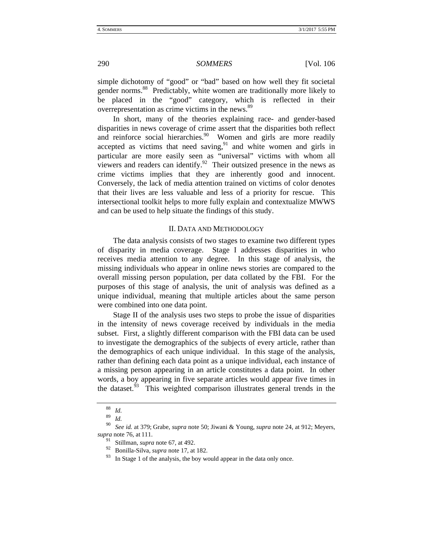simple dichotomy of "good" or "bad" based on how well they fit societal gender norms.<sup>88</sup> Predictably, white women are traditionally more likely to be placed in the "good" category, which is reflected in their overrepresentation as crime victims in the news.<sup>89</sup>

In short, many of the theories explaining race- and gender-based disparities in news coverage of crime assert that the disparities both reflect and reinforce social hierarchies. $90$  Women and girls are more readily accepted as victims that need saving, $91$  and white women and girls in particular are more easily seen as "universal" victims with whom all viewers and readers can identify.<sup>92</sup> Their outsized presence in the news as crime victims implies that they are inherently good and innocent. Conversely, the lack of media attention trained on victims of color denotes that their lives are less valuable and less of a priority for rescue. This intersectional toolkit helps to more fully explain and contextualize MWWS and can be used to help situate the findings of this study.

#### II. DATA AND METHODOLOGY

The data analysis consists of two stages to examine two different types of disparity in media coverage. Stage I addresses disparities in who receives media attention to any degree. In this stage of analysis, the missing individuals who appear in online news stories are compared to the overall missing person population, per data collated by the FBI. For the purposes of this stage of analysis, the unit of analysis was defined as a unique individual, meaning that multiple articles about the same person were combined into one data point.

Stage II of the analysis uses two steps to probe the issue of disparities in the intensity of news coverage received by individuals in the media subset. First, a slightly different comparison with the FBI data can be used to investigate the demographics of the subjects of every article, rather than the demographics of each unique individual. In this stage of the analysis, rather than defining each data point as a unique individual, each instance of a missing person appearing in an article constitutes a data point. In other words, a boy appearing in five separate articles would appear five times in the dataset.<sup> $93$ </sup> This weighted comparison illustrates general trends in the

<sup>88</sup> *Id.*<sup>89</sup> *Id.*

<sup>90</sup> *See id.* at 379; Grabe, *supra* note 50; Jiwani & Young, *supra* note 24, at 912; Meyers, *supra* note 76, at 111.

<sup>91</sup> Stillman, *supra* note 67, at 492.

<sup>92</sup> Bonilla-Silva, *supra* note 17, at 182.

 $93$  In Stage 1 of the analysis, the boy would appear in the data only once.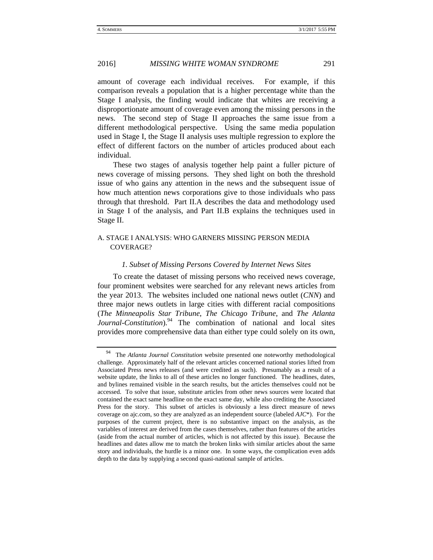amount of coverage each individual receives. For example, if this comparison reveals a population that is a higher percentage white than the Stage I analysis, the finding would indicate that whites are receiving a disproportionate amount of coverage even among the missing persons in the news. The second step of Stage II approaches the same issue from a different methodological perspective. Using the same media population used in Stage I, the Stage II analysis uses multiple regression to explore the effect of different factors on the number of articles produced about each individual.

These two stages of analysis together help paint a fuller picture of news coverage of missing persons. They shed light on both the threshold issue of who gains any attention in the news and the subsequent issue of how much attention news corporations give to those individuals who pass through that threshold. Part II.A describes the data and methodology used in Stage I of the analysis, and Part II.B explains the techniques used in Stage II.

# A. STAGE I ANALYSIS: WHO GARNERS MISSING PERSON MEDIA COVERAGE?

# *1. Subset of Missing Persons Covered by Internet News Sites*

To create the dataset of missing persons who received news coverage, four prominent websites were searched for any relevant news articles from the year 2013. The websites included one national news outlet (*CNN*) and three major news outlets in large cities with different racial compositions (*The Minneapolis Star Tribune*, *The Chicago Tribune*, and *The Atlanta Journal-Constitution*).<sup>94</sup> The combination of national and local sites provides more comprehensive data than either type could solely on its own,

<sup>94</sup> The *Atlanta Journal Constitution* website presented one noteworthy methodological challenge. Approximately half of the relevant articles concerned national stories lifted from Associated Press news releases (and were credited as such). Presumably as a result of a website update, the links to all of these articles no longer functioned. The headlines, dates, and bylines remained visible in the search results, but the articles themselves could not be accessed. To solve that issue, substitute articles from other news sources were located that contained the exact same headline on the exact same day, while also crediting the Associated Press for the story. This subset of articles is obviously a less direct measure of news coverage on ajc.com, so they are analyzed as an independent source (labeled *AJC*\*). For the purposes of the current project, there is no substantive impact on the analysis, as the variables of interest are derived from the cases themselves, rather than features of the articles (aside from the actual number of articles, which is not affected by this issue). Because the headlines and dates allow me to match the broken links with similar articles about the same story and individuals, the hurdle is a minor one. In some ways, the complication even adds depth to the data by supplying a second quasi-national sample of articles.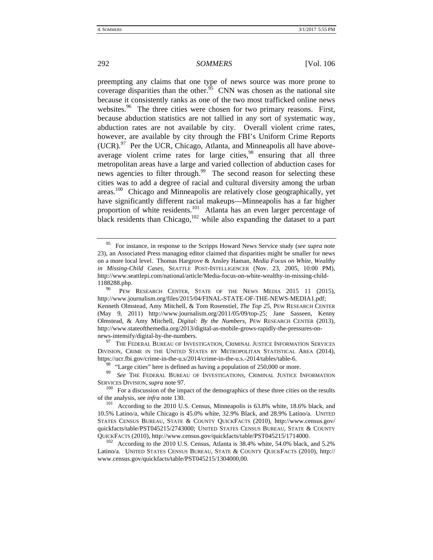preempting any claims that one type of news source was more prone to coverage disparities than the other.<sup>95</sup> CNN was chosen as the national site because it consistently ranks as one of the two most trafficked online news websites.<sup>96</sup> The three cities were chosen for two primary reasons. First, because abduction statistics are not tallied in any sort of systematic way, abduction rates are not available by city. Overall violent crime rates, however, are available by city through the FBI's Uniform Crime Reports  $(UCR).<sup>97</sup>$  Per the UCR, Chicago, Atlanta, and Minneapolis all have aboveaverage violent crime rates for large cities,<sup>98</sup> ensuring that all three metropolitan areas have a large and varied collection of abduction cases for news agencies to filter through.<sup>99</sup> The second reason for selecting these cities was to add a degree of racial and cultural diversity among the urban areas.100 Chicago and Minneapolis are relatively close geographically, yet have significantly different racial makeups—Minneapolis has a far higher proportion of white residents.<sup>101</sup> Atlanta has an even larger percentage of black residents than Chicago,  $102$  while also expanding the dataset to a part

news-intensify/digital-by-the-numbers. 97 THE FEDERAL BUREAU OF INVESTIGATION, CRIMINAL JUSTICE INFORMATION SERVICES DIVISION, CRIME IN THE UNITED STATES BY METROPOLITAN STATISTICAL AREA (2014), https://ucr.fbi.gov/crime-in-the-u.s/2014/crime-in-the-u.s.-2014/tables/table-6.

<sup>98</sup> "Large cities" here is defined as having a population of 250,000 or more.<br><sup>99</sup> *See* THE FEDERAL BUREAU OF INVESTIGATIONS, CRIMINAL JUSTICE INFORMATION

SERVICES DIVISION, *supra* note 97.<br><sup>100</sup> For a discussion of the impact of the demographics of these three cities on the results

of the analysis, see *infra* note 130.<br><sup>101</sup> According to the 2010 U.S. Census, Minneapolis is 63.8% white, 18.6% black, and 10.5% Latino/a, while Chicago is 45.0% white, 32.9% Black, and 28.9% Latino/a. UNITED STATES CENSUS BUREAU, STATE & COUNTY QUICKFACTS (2010), http://www.census.gov/ quickfacts/table/PST045215/2743000; UNITED STATES CENSUS BUREAU, STATE & COUNTY QUICKFACTS (2010), http://www.census.gov/quickfacts/table/PST045215/1714000.<br><sup>102</sup> According to the 2010 U.S. Census, Atlanta is 38.4% white, 54.0% black, and 5.2%

Latino/a. UNITED STATES CENSUS BUREAU, STATE & COUNTY QUICKFACTS (2010), http:// www.census.gov/quickfacts/table/PST045215/1304000,00.

<sup>95</sup> For instance, in response to the Scripps Howard News Service study (*see supra* note 23), an Associated Press managing editor claimed that disparities might be smaller for news on a more local level. Thomas Hargrove & Ansley Haman, *Media Focus on White, Wealthy in Missing-Child Cases*, SEATTLE POST-INTELLIGENCER (Nov. 23, 2005, 10:00 PM), http://www.seattlepi.com/national/article/Media-focus-on-white-wealthy-in-missing-child-1188288.php.<br><sup>96</sup> PEW RESEARCH CENTER, STATE OF THE NEWS MEDIA 2015 11 (2015),

http://www.journalism.org/files/2015/04/FINAL-STATE-OF-THE-NEWS-MEDIA1.pdf; Kenneth Olmstead, Amy Mitchell, & Tom Rosenstiel, *The Top 25*, PEW RESEARCH CENTER (May 9, 2011) http://www.journalism.org/2011/05/09/top-25; Jane Sasseen, Kenny Olmstead, & Amy Mitchell, *Digital: By the Numbers*, PEW RESEARCH CENTER (2013), http://www.stateofthemedia.org/2013/digital-as-mobile-grows-rapidly-the-pressures-on-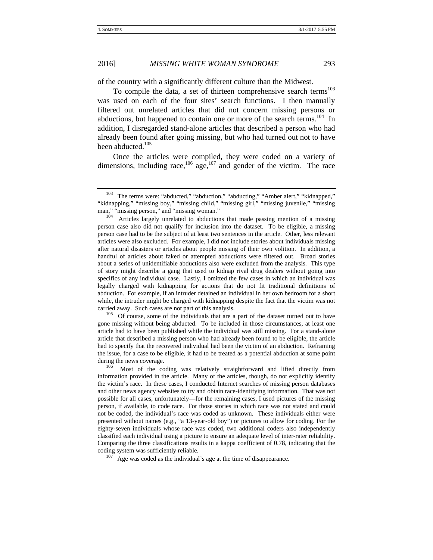of the country with a significantly different culture than the Midwest.

To compile the data, a set of thirteen comprehensive search terms<sup>103</sup> was used on each of the four sites' search functions. I then manually filtered out unrelated articles that did not concern missing persons or abductions, but happened to contain one or more of the search terms.<sup>104</sup> In addition, I disregarded stand-alone articles that described a person who had already been found after going missing, but who had turned out not to have been abducted.<sup>105</sup>

Once the articles were compiled, they were coded on a variety of dimensions, including race,<sup>106</sup> age,<sup>107</sup> and gender of the victim. The race

person case also did not qualify for inclusion into the dataset. To be eligible, a missing person case had to be the subject of at least two sentences in the article. Other, less relevant articles were also excluded. For example, I did not include stories about individuals missing after natural disasters or articles about people missing of their own volition. In addition, a handful of articles about faked or attempted abductions were filtered out. Broad stories about a series of unidentifiable abductions also were excluded from the analysis. This type of story might describe a gang that used to kidnap rival drug dealers without going into specifics of any individual case. Lastly, I omitted the few cases in which an individual was legally charged with kidnapping for actions that do not fit traditional definitions of abduction. For example, if an intruder detained an individual in her own bedroom for a short while, the intruder might be charged with kidnapping despite the fact that the victim was not carried away. Such cases are not part of this analysis.<br><sup>105</sup> Of course, some of the individuals that are a part of the dataset turned out to have

gone missing without being abducted. To be included in those circumstances, at least one article had to have been published while the individual was still missing. For a stand-alone article that described a missing person who had already been found to be eligible, the article had to specify that the recovered individual had been the victim of an abduction. Reframing the issue, for a case to be eligible, it had to be treated as a potential abduction at some point during the news coverage.<br><sup>106</sup> Most of the coding was relatively straightforward and lifted directly from

information provided in the article. Many of the articles, though, do not explicitly identify the victim's race. In these cases, I conducted Internet searches of missing person databases and other news agency websites to try and obtain race-identifying information. That was not possible for all cases, unfortunately—for the remaining cases, I used pictures of the missing person, if available, to code race. For those stories in which race was not stated and could not be coded, the individual's race was coded as unknown. These individuals either were presented without names (e.g., "a 13-year-old boy") or pictures to allow for coding. For the eighty-seven individuals whose race was coded, two additional coders also independently classified each individual using a picture to ensure an adequate level of inter-rater reliability. Comparing the three classifications results in a kappa coefficient of 0.78, indicating that the

 $107$  Age was coded as the individual's age at the time of disappearance.

<sup>&</sup>lt;sup>103</sup> The terms were: "abducted," "abduction," "abducting," "Amber alert," "kidnapped," "kidnapping," "missing boy," "missing child," "missing girl," "missing juvenile," "missing man," "missing person," and "missing woman."<br><sup>104</sup> Articles largely unrelated to abductions that made passing mention of a missing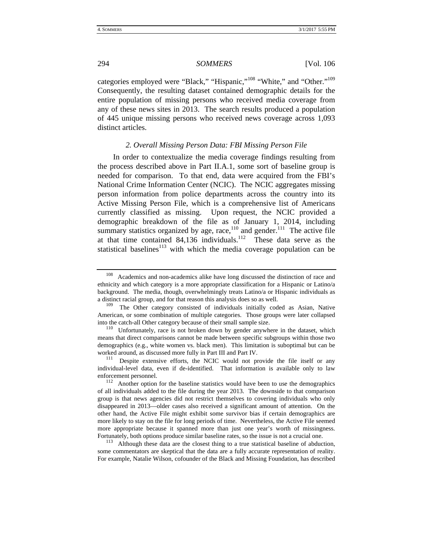categories employed were "Black," "Hispanic,"108 "White," and "Other."109 Consequently, the resulting dataset contained demographic details for the entire population of missing persons who received media coverage from any of these news sites in 2013. The search results produced a population of 445 unique missing persons who received news coverage across 1,093 distinct articles.

#### *2. Overall Missing Person Data: FBI Missing Person File*

In order to contextualize the media coverage findings resulting from the process described above in Part II.A.1, some sort of baseline group is needed for comparison. To that end, data were acquired from the FBI's National Crime Information Center (NCIC). The NCIC aggregates missing person information from police departments across the country into its Active Missing Person File, which is a comprehensive list of Americans currently classified as missing. Upon request, the NCIC provided a demographic breakdown of the file as of January 1, 2014, including summary statistics organized by age, race, $110$  and gender. $111$  The active file at that time contained  $84,136$  individuals.<sup>112</sup> These data serve as the statistical baselines $113$  with which the media coverage population can be

<sup>&</sup>lt;sup>108</sup> Academics and non-academics alike have long discussed the distinction of race and ethnicity and which category is a more appropriate classification for a Hispanic or Latino/a background. The media, though, overwhelmingly treats Latino/a or Hispanic individuals as a distinct racial group, and for that reason this analysis does so as well.

The Other category consisted of individuals initially coded as Asian, Native American, or some combination of multiple categories. Those groups were later collapsed

into the catch-all Other category because of their small sample size.<br><sup>110</sup> Unfortunately, race is not broken down by gender anywhere in the dataset, which means that direct comparisons cannot be made between specific subgroups within those two demographics (e.g., white women vs. black men). This limitation is suboptimal but can be worked around, as discussed more fully in Part III and Part IV.<br><sup>111</sup> Despite extensive efforts, the NCIC would not provide the file itself or any

individual-level data, even if de-identified. That information is available only to law enforcement personnel.<br><sup>112</sup> Another option for the baseline statistics would have been to use the demographics

of all individuals added to the file during the year 2013. The downside to that comparison group is that news agencies did not restrict themselves to covering individuals who only disappeared in 2013—older cases also received a significant amount of attention. On the other hand, the Active File might exhibit some survivor bias if certain demographics are more likely to stay on the file for long periods of time. Nevertheless, the Active File seemed more appropriate because it spanned more than just one year's worth of missingness. Fortunately, both options produce similar baseline rates, so the issue is not a crucial one.<br><sup>113</sup> Although these data are the closest thing to a true statistical baseline of abduction,

some commentators are skeptical that the data are a fully accurate representation of reality. For example, Natalie Wilson, cofounder of the Black and Missing Foundation, has described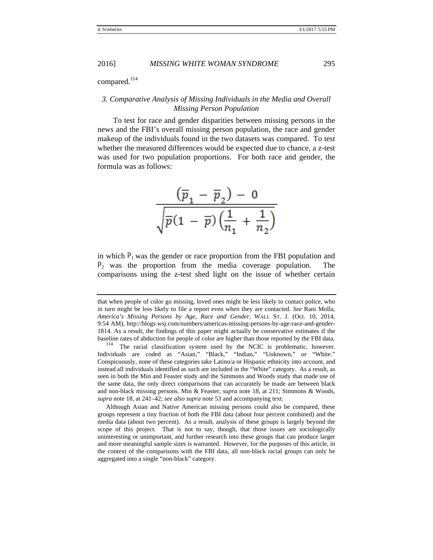compared.<sup>114</sup>

# *3. Comparative Analysis of Missing Individuals in the Media and Overall Missing Person Population*

To test for race and gender disparities between missing persons in the news and the FBI's overall missing person population, the race and gender makeup of the individuals found in the two datasets was compared. To test whether the measured differences would be expected due to chance, a z-test was used for two population proportions. For both race and gender, the formula was as follows:

$$
\frac{\left(\overline{p}_1 - \overline{p}_2\right) - 0}{\sqrt{\overline{p}(1 - \overline{p})\left(\frac{1}{n_1} + \frac{1}{n_2}\right)}}
$$

in which  $P_1$  was the gender or race proportion from the FBI population and  $P_2$  was the proportion from the media coverage population. comparisons using the z-test shed light on the issue of whether certain

that when people of color go missing, loved ones might be less likely to contact police, who in turn might be less likely to file a report even when they are contacted. *See* Rani Molla, *America's Missing Persons by Age, Race and Gender*, WALL ST. J. (Oct. 10, 2014, 9:54 AM), http://blogs.wsj.com/numbers/americas-missing-persons-by-age-race-and-gender-1814. As a result, the findings of this paper might actually be conservative estimates if the baseline rates of abduction for people of color are higher than those reported by the FBI data.<br><sup>114</sup> The racial classification system used by the NCIC is problematic, however.

Individuals are coded as "Asian," "Black," "Indian," "Unknown," or "White." Conspicuously, none of these categories take Latino/a or Hispanic ethnicity into account, and instead all individuals identified as such are included in the "White" category. As a result, as seen in both the Min and Feaster study and the Simmons and Woods study that made use of the same data, the only direct comparisons that can accurately be made are between black and non-black missing persons. Min & Feaster, *supra* note 18, at 211; Simmons & Woods, *supra* note 18, at 241–42; *see also supra* note 53 and accompanying text.

 Although Asian and Native American missing persons could also be compared, these groups represent a tiny fraction of both the FBI data (about four percent combined) and the media data (about two percent). As a result, analysis of these groups is largely beyond the scope of this project. That is not to say, though, that those issues are sociologically uninteresting or unimportant, and further research into these groups that can produce larger and more meaningful sample sizes is warranted. However, for the purposes of this article, in the context of the comparisons with the FBI data, all non-black racial groups can only be aggregated into a single "non-black" category.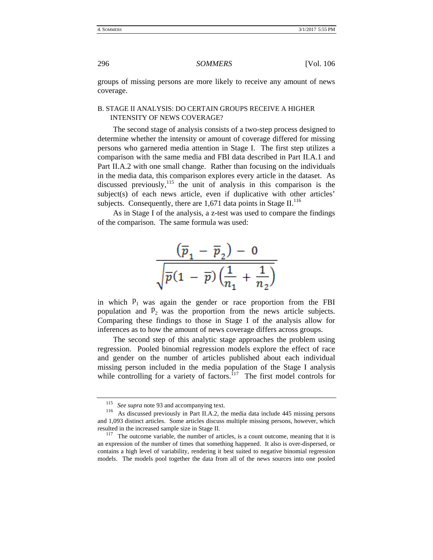groups of missing persons are more likely to receive any amount of news coverage.

#### B. STAGE II ANALYSIS: DO CERTAIN GROUPS RECEIVE A HIGHER INTENSITY OF NEWS COVERAGE?

The second stage of analysis consists of a two-step process designed to determine whether the intensity or amount of coverage differed for missing persons who garnered media attention in Stage I. The first step utilizes a comparison with the same media and FBI data described in Part II.A.1 and Part II.A.2 with one small change. Rather than focusing on the individuals in the media data, this comparison explores every article in the dataset. As discussed previously,<sup>115</sup> the unit of analysis in this comparison is the subject(s) of each news article, even if duplicative with other articles' subjects. Consequently, there are  $1,671$  data points in Stage II.<sup>116</sup>

As in Stage I of the analysis, a z-test was used to compare the findings of the comparison. The same formula was used:

$$
\frac{\left(\overline{p}_1-\overline{p}_2\right)-0}{\sqrt{\overline{p}(1-\overline{p})\left(\frac{1}{n_1}+\frac{1}{n_2}\right)}}
$$

in which  $P_1$  was again the gender or race proportion from the FBI population and  $P_2$  was the proportion from the news article subjects. Comparing these findings to those in Stage I of the analysis allow for inferences as to how the amount of news coverage differs across groups.

The second step of this analytic stage approaches the problem using regression. Pooled binomial regression models explore the effect of race and gender on the number of articles published about each individual missing person included in the media population of the Stage I analysis while controlling for a variety of factors.<sup>117</sup> The first model controls for

<sup>&</sup>lt;sup>115</sup> *See supra* note 93 and accompanying text.<br><sup>116</sup> As discussed previously in Part II.A.2, the media data include 445 missing persons and 1,093 distinct articles. Some articles discuss multiple missing persons, however, which resulted in the increased sample size in Stage II.<br><sup>117</sup> The outcome variable, the number of articles, is a count outcome, meaning that it is

an expression of the number of times that something happened. It also is over-dispersed, or contains a high level of variability, rendering it best suited to negative binomial regression models. The models pool together the data from all of the news sources into one pooled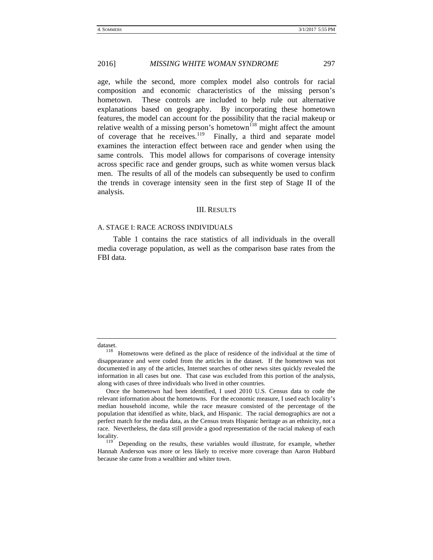age, while the second, more complex model also controls for racial composition and economic characteristics of the missing person's hometown. These controls are included to help rule out alternative explanations based on geography. By incorporating these hometown features, the model can account for the possibility that the racial makeup or relative wealth of a missing person's hometown<sup>118</sup> might affect the amount of coverage that he receives.<sup>119</sup> Finally, a third and separate model examines the interaction effect between race and gender when using the same controls. This model allows for comparisons of coverage intensity across specific race and gender groups, such as white women versus black men. The results of all of the models can subsequently be used to confirm the trends in coverage intensity seen in the first step of Stage II of the analysis.

#### III. RESULTS

#### A. STAGE I: RACE ACROSS INDIVIDUALS

Table 1 contains the race statistics of all individuals in the overall media coverage population, as well as the comparison base rates from the FBI data.

Depending on the results, these variables would illustrate, for example, whether Hannah Anderson was more or less likely to receive more coverage than Aaron Hubbard because she came from a wealthier and whiter town.

dataset.<br><sup>118</sup> Hometowns were defined as the place of residence of the individual at the time of disappearance and were coded from the articles in the dataset. If the hometown was not documented in any of the articles, Internet searches of other news sites quickly revealed the information in all cases but one. That case was excluded from this portion of the analysis, along with cases of three individuals who lived in other countries.

Once the hometown had been identified, I used 2010 U.S. Census data to code the relevant information about the hometowns. For the economic measure, I used each locality's median household income, while the race measure consisted of the percentage of the population that identified as white, black, and Hispanic. The racial demographics are not a perfect match for the media data, as the Census treats Hispanic heritage as an ethnicity, not a race. Nevertheless, the data still provide a good representation of the racial makeup of each locality.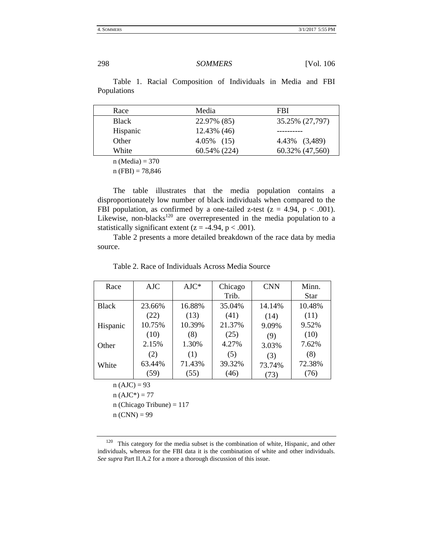| Race     | Media        | FBI             |
|----------|--------------|-----------------|
| Black    | 22.97% (85)  | 35.25% (27,797) |
| Hispanic | 12.43% (46)  |                 |
| Other    | 4.05% (15)   | 4.43% (3,489)   |
| White    | 60.54% (224) | 60.32% (47,560) |

Table 1. Racial Composition of Individuals in Media and FBI Populations

 $n (Media) = 370$ 

 $n (FBI) = 78,846$ 

The table illustrates that the media population contains a disproportionately low number of black individuals when compared to the FBI population, as confirmed by a one-tailed z-test ( $z = 4.94$ ,  $p < .001$ ). Likewise, non-blacks $120$  are overrepresented in the media population to a statistically significant extent ( $z = -4.94$ ,  $p < .001$ ).

Table 2 presents a more detailed breakdown of the race data by media source.

| Race         | AJC    | $AJC*$ | Chicago<br>Trib. | <b>CNN</b> | Minn.<br><b>Star</b> |
|--------------|--------|--------|------------------|------------|----------------------|
| <b>Black</b> | 23.66% | 16.88% | 35.04%           | 14.14%     | 10.48%               |
|              | (22)   | (13)   | (41)             | (14)       | (11)                 |
| Hispanic     | 10.75% | 10.39% | 21.37%           | 9.09%      | 9.52%                |
|              | (10)   | (8)    | (25)             | (9)        | (10)                 |
| Other        | 2.15%  | 1.30%  | 4.27%            | 3.03%      | 7.62%                |
|              | (2)    | (1)    | (5)              | (3)        | (8)                  |
| White        | 63.44% | 71.43% | 39.32%           | 73.74%     | 72.38%               |
|              | (59)   | (55)   | (46)             | (73)       | (76)                 |

Table 2. Race of Individuals Across Media Source

 $n(AJC) = 93$ 

 $n(AJC^*) = 77$ 

n (Chicago Tribune) = 117

 $n (CNN) = 99$ 

 $120$  This category for the media subset is the combination of white, Hispanic, and other individuals, whereas for the FBI data it is the combination of white and other individuals. *See supra* Part II.A.2 for a more a thorough discussion of this issue.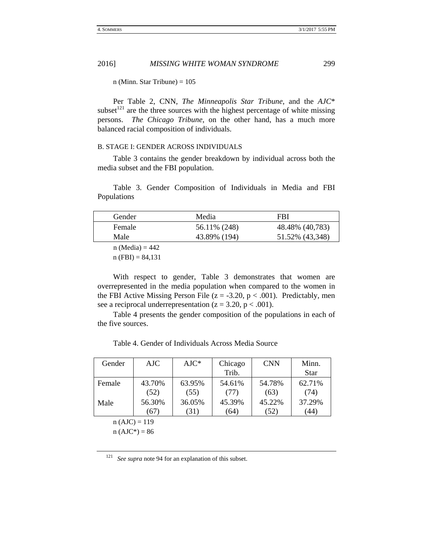n (Minn. Star Tribune)  $= 105$ 

Per Table 2, CNN, *The Minneapolis Star Tribune*, and the *AJC*\* subset<sup> $121$ </sup> are the three sources with the highest percentage of white missing persons. *The Chicago Tribune*, on the other hand, has a much more balanced racial composition of individuals.

## B. STAGE I: GENDER ACROSS INDIVIDUALS

Table 3 contains the gender breakdown by individual across both the media subset and the FBI population.

Table 3. Gender Composition of Individuals in Media and FBI Populations

| Gender            | Media        | FBI             |
|-------------------|--------------|-----------------|
| Female            | 56.11% (248) | 48.48% (40,783) |
| Male              | 43.89% (194) | 51.52% (43,348) |
| $n (Media) = 442$ |              |                 |

 $n$  (FBI) = 84,131

With respect to gender, Table 3 demonstrates that women are overrepresented in the media population when compared to the women in the FBI Active Missing Person File ( $z = -3.20$ ,  $p < .001$ ). Predictably, men see a reciprocal underrepresentation ( $z = 3.20$ ,  $p < .001$ ).

Table 4 presents the gender composition of the populations in each of the five sources.

Table 4. Gender of Individuals Across Media Source

| Gender | AJC            | $AJC*$ | Chicago | <b>CNN</b> | Minn.       |
|--------|----------------|--------|---------|------------|-------------|
|        |                |        | Trib.   |            | <b>Star</b> |
| Female | 43.70%         | 63.95% | 54.61%  | 54.78%     | 62.71%      |
|        | (52)           | (55)   | (77)    | (63)       | (74)        |
| Male   | 56.30%         | 36.05% | 45.39%  | 45.22%     | 37.29%      |
|        | (67)           | (31)   | (64)    | (52)       | (44)        |
|        | $n(AJC) = 119$ |        |         |            |             |

 $n(AJC^*) = 86$ 

<sup>121</sup> *See supra* note 94 for an explanation of this subset.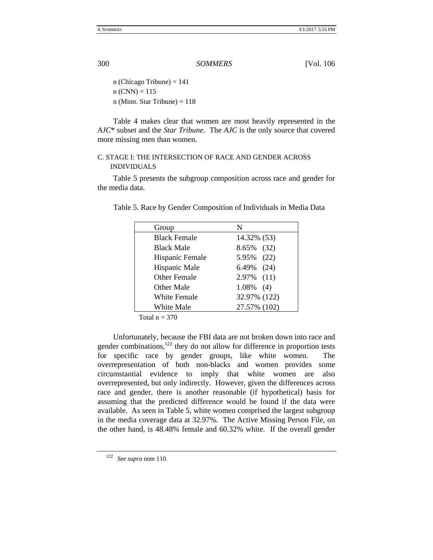n (Chicago Tribune)  $= 141$  $n (CNN) = 115$ n (Minn. Star Tribune)  $= 118$ 

Table 4 makes clear that women are most heavily represented in the *AJC*\* subset and the *Star Tribune*. The *AJC* is the only source that covered more missing men than women.

# C. STAGE I: THE INTERSECTION OF RACE AND GENDER ACROSS INDIVIDUALS

Table 5 presents the subgroup composition across race and gender for the media data.

| Group               | N             |
|---------------------|---------------|
| <b>Black Female</b> | 14.32% (53)   |
| <b>Black Male</b>   | 8.65% (32)    |
| Hispanic Female     | 5.95% (22)    |
| Hispanic Male       | 6.49% (24)    |
| <b>Other Female</b> | $2.97\%$ (11) |
| Other Male          | $1.08\%$ (4)  |
| White Female        | 32.97% (122)  |
| White Male          | 27.57% (102)  |

Table 5. Race by Gender Composition of Individuals in Media Data

Total  $n = 370$ 

Unfortunately, because the FBI data are not broken down into race and gender combinations, $122$  they do not allow for difference in proportion tests for specific race by gender groups, like white women. The overrepresentation of both non-blacks and women provides some circumstantial evidence to imply that white women are also overrepresented, but only indirectly. However, given the differences across race and gender, there is another reasonable (if hypothetical) basis for assuming that the predicted difference would be found if the data were available. As seen in Table 5, white women comprised the largest subgroup in the media coverage data at 32.97%. The Active Missing Person File, on the other hand, is 48.48% female and 60.32% white. If the overall gender

<sup>122</sup> *See supra* note 110.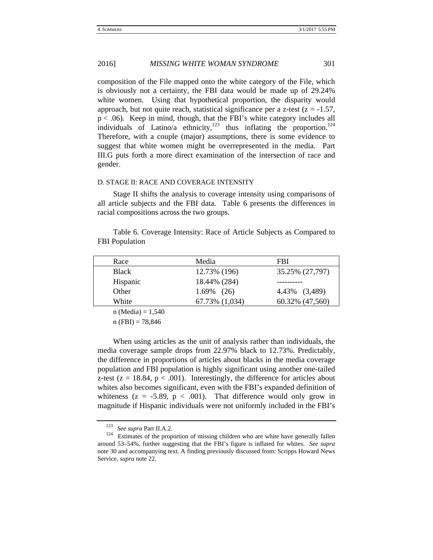composition of the File mapped onto the white category of the File, which is obviously not a certainty, the FBI data would be made up of 29.24% white women. Using that hypothetical proportion, the disparity would approach, but not quite reach, statistical significance per a z-test ( $z = -1.57$ ,  $p < .06$ ). Keep in mind, though, that the FBI's white category includes all individuals of Latino/a ethnicity, $123$  thus inflating the proportion.<sup>124</sup> Therefore, with a couple (major) assumptions, there is some evidence to suggest that white women might be overrepresented in the media. Part III.G puts forth a more direct examination of the intersection of race and gender.

#### D. STAGE II: RACE AND COVERAGE INTENSITY

Stage II shifts the analysis to coverage intensity using comparisons of all article subjects and the FBI data. Table 6 presents the differences in racial compositions across the two groups.

Table 6. Coverage Intensity: Race of Article Subjects as Compared to FBI Population

| Race     | Media          | FBI             |
|----------|----------------|-----------------|
| Black    | 12.73% (196)   | 35.25% (27,797) |
| Hispanic | 18.44% (284)   |                 |
| Other    | $1.69\%$ (26)  | 4.43% (3,489)   |
| White    | 67.73% (1,034) | 60.32% (47,560) |
|          |                |                 |

 $n (Media) = 1,540$ 

 $n (FBI) = 78,846$ 

When using articles as the unit of analysis rather than individuals, the media coverage sample drops from 22.97% black to 12.73%. Predictably, the difference in proportions of articles about blacks in the media coverage population and FBI population is highly significant using another one-tailed z-test ( $z = 18.84$ ,  $p < .001$ ). Interestingly, the difference for articles about whites also becomes significant, even with the FBI's expanded definition of whiteness ( $z = -5.89$ ,  $p < .001$ ). That difference would only grow in magnitude if Hispanic individuals were not uniformly included in the FBI's

<sup>&</sup>lt;sup>123</sup> *See supra* Part II.A.2.<br><sup>124</sup> Estimates of the proportion of missing children who are white have generally fallen around 53–54%, further suggesting that the FBI's figure is inflated for whites. *See supra* note 30 and accompanying text. A finding previously discussed from: Scripps Howard News Service, *supra* note 22.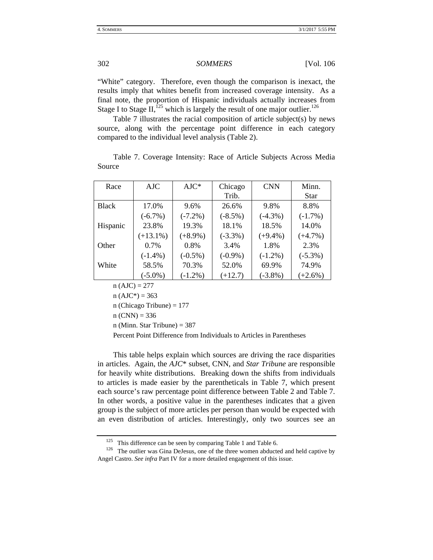"White" category. Therefore, even though the comparison is inexact, the results imply that whites benefit from increased coverage intensity. As a final note, the proportion of Hispanic individuals actually increases from Stage I to Stage II,<sup>125</sup> which is largely the result of one major outlier.<sup>126</sup>

Table 7 illustrates the racial composition of article subject(s) by news source, along with the percentage point difference in each category compared to the individual level analysis (Table 2).

|        |  | Table 7. Coverage Intensity: Race of Article Subjects Across Media |  |  |  |  |
|--------|--|--------------------------------------------------------------------|--|--|--|--|
| Source |  |                                                                    |  |  |  |  |

| Race         | AJC         | $AJC^*$    | Chicago<br>Trib. | <b>CNN</b> | Minn.<br>Star |
|--------------|-------------|------------|------------------|------------|---------------|
| <b>Black</b> | 17.0%       | 9.6%       | 26.6%            | 9.8%       | 8.8%          |
|              | $(-6.7\%)$  | $(-7.2\%)$ | $(-8.5\%)$       | $(-4.3\%)$ | $(-1.7%)$     |
| Hispanic     | 23.8%       | 19.3%      | 18.1%            | 18.5%      | 14.0%         |
|              | $(+13.1\%)$ | $(+8.9\%)$ | $(-3.3\%)$       | $(+9.4\%)$ | $(+4.7%)$     |
| Other        | 0.7%        | 0.8%       | 3.4%             | 1.8%       | 2.3%          |
|              | $(-1.4\%)$  | $(-0.5\%)$ | $(-0.9\%)$       | $(-1.2\%)$ | $(-5.3\%)$    |
| White        | 58.5%       | 70.3%      | 52.0%            | 69.9%      | 74.9%         |
|              | $(-5.0\%)$  | $(-1.2\%)$ | $(+12.7)$        | $(-3.8\%)$ | $(+2.6\%)$    |

 $n(AJC) = 277$ 

 $n(AJC^*) = 363$ 

n (Chicago Tribune)  $= 177$ 

 $n (CNN) = 336$ 

n (Minn. Star Tribune) = 387

Percent Point Difference from Individuals to Articles in Parentheses

This table helps explain which sources are driving the race disparities in articles. Again, the *AJC*\* subset, CNN, and *Star Tribune* are responsible for heavily white distributions. Breaking down the shifts from individuals to articles is made easier by the parentheticals in Table 7, which present each source's raw percentage point difference between Table 2 and Table 7. In other words, a positive value in the parentheses indicates that a given group is the subject of more articles per person than would be expected with an even distribution of articles. Interestingly, only two sources see an

<sup>&</sup>lt;sup>125</sup> This difference can be seen by comparing Table 1 and Table 6. <sup>126</sup> The outlier was Gina DeJesus, one of the three women abducted and held captive by Angel Castro. *See infra* Part IV for a more detailed engagement of this issue.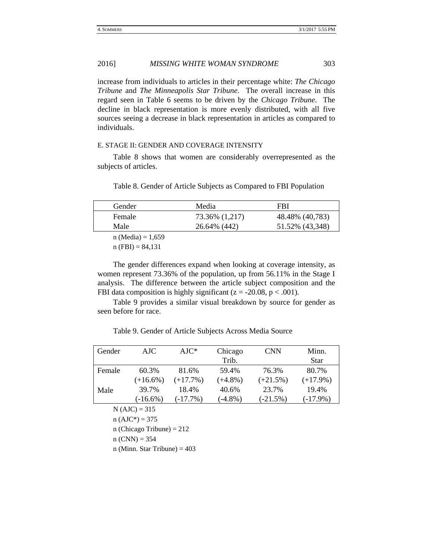increase from individuals to articles in their percentage white: *The Chicago Tribune* and *The Minneapolis Star Tribune*. The overall increase in this regard seen in Table 6 seems to be driven by the *Chicago Tribune*. The decline in black representation is more evenly distributed, with all five sources seeing a decrease in black representation in articles as compared to individuals.

#### E. STAGE II: GENDER AND COVERAGE INTENSITY

Table 8 shows that women are considerably overrepresented as the subjects of articles.

Table 8. Gender of Article Subjects as Compared to FBI Population

| Gender              | Media          | FBI             |
|---------------------|----------------|-----------------|
| Female              | 73.36% (1,217) | 48.48% (40,783) |
| Male                | 26.64% (442)   | 51.52% (43,348) |
| $n (Media) = 1,659$ |                |                 |

 $n$  (FBI) = 84,131

The gender differences expand when looking at coverage intensity, as women represent 73.36% of the population, up from 56.11% in the Stage I analysis. The difference between the article subject composition and the FBI data composition is highly significant ( $z = -20.08$ ,  $p < .001$ ).

Table 9 provides a similar visual breakdown by source for gender as seen before for race.

Table 9. Gender of Article Subjects Across Media Source

| Gender                      | $A$ JC                         | $AIC^*$    | Chicago<br>Trib. | <b>CNN</b> | Minn.<br>Star |  |  |
|-----------------------------|--------------------------------|------------|------------------|------------|---------------|--|--|
| Female                      | 60.3%                          | 81.6%      | 59.4%            | 76.3%      | 80.7%         |  |  |
|                             | $(+16.6\%)$                    | $(+17.7%)$ | $(+4.8\%)$       | $(+21.5%)$ | $(+17.9\%)$   |  |  |
| Male                        | 39.7%                          | 18.4%      | 40.6%            | 23.7%      | 19.4%         |  |  |
|                             | $(-16.6%)$                     | $(-17.7%)$ | $(-4.8\%)$       | $(-21.5%)$ | $(-17.9\%)$   |  |  |
|                             | $N(AJC) = 315$                 |            |                  |            |               |  |  |
|                             | $n(AJC^*) = 375$               |            |                  |            |               |  |  |
| n (Chicago Tribune) = $212$ |                                |            |                  |            |               |  |  |
| $n (CNN) = 354$             |                                |            |                  |            |               |  |  |
|                             | n (Minn. Star Tribune) = $403$ |            |                  |            |               |  |  |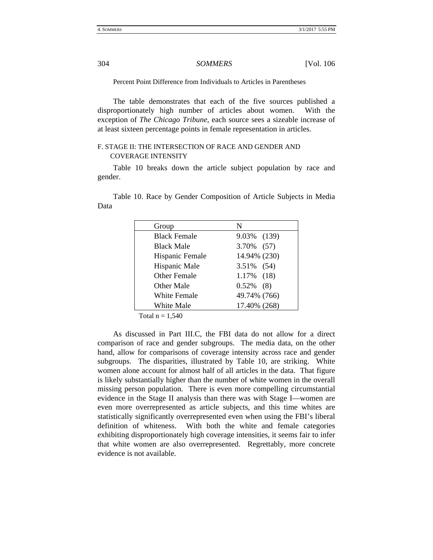Percent Point Difference from Individuals to Articles in Parentheses

The table demonstrates that each of the five sources published a disproportionately high number of articles about women. With the exception of *The Chicago Tribune*, each source sees a sizeable increase of at least sixteen percentage points in female representation in articles.

# F. STAGE II: THE INTERSECTION OF RACE AND GENDER AND COVERAGE INTENSITY

Table 10 breaks down the article subject population by race and gender.

Table 10. Race by Gender Composition of Article Subjects in Media Data

| Group               | N             |
|---------------------|---------------|
| <b>Black Female</b> | 9.03% (139)   |
| <b>Black Male</b>   | 3.70% (57)    |
| Hispanic Female     | 14.94% (230)  |
| Hispanic Male       | 3.51% (54)    |
| <b>Other Female</b> | $1.17\%$ (18) |
| Other Male          | $0.52\%$ (8)  |
| <b>White Female</b> | 49.74% (766)  |
| White Male          | 17.40% (268)  |

Total  $n = 1,540$ 

As discussed in Part III.C, the FBI data do not allow for a direct comparison of race and gender subgroups. The media data, on the other hand, allow for comparisons of coverage intensity across race and gender subgroups. The disparities, illustrated by Table 10, are striking. White women alone account for almost half of all articles in the data. That figure is likely substantially higher than the number of white women in the overall missing person population. There is even more compelling circumstantial evidence in the Stage II analysis than there was with Stage I—women are even more overrepresented as article subjects, and this time whites are statistically significantly overrepresented even when using the FBI's liberal definition of whiteness. With both the white and female categories exhibiting disproportionately high coverage intensities, it seems fair to infer that white women are also overrepresented. Regrettably, more concrete evidence is not available.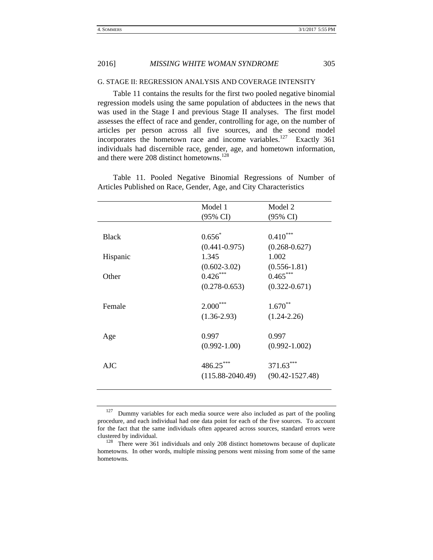#### G. STAGE II: REGRESSION ANALYSIS AND COVERAGE INTENSITY

Table 11 contains the results for the first two pooled negative binomial regression models using the same population of abductees in the news that was used in the Stage I and previous Stage II analyses. The first model assesses the effect of race and gender, controlling for age, on the number of articles per person across all five sources, and the second model incorporates the hometown race and income variables.<sup>127</sup> Exactly 361 individuals had discernible race, gender, age, and hometown information, and there were 208 distinct hometowns.<sup>128</sup>

Table 11. Pooled Negative Binomial Regressions of Number of Articles Published on Race, Gender, Age, and City Characteristics

|              | Model 1              | Model 2             |
|--------------|----------------------|---------------------|
|              | (95% CI)             | (95% CI)            |
|              |                      |                     |
| <b>Black</b> | $0.656*$             | ***<br>0.410        |
|              | $(0.441 - 0.975)$    | $(0.268 - 0.627)$   |
| Hispanic     | 1.345                | 1.002               |
|              | $(0.602 - 3.02)$     | $(0.556 - 1.81)$    |
| Other        | $0.426***$           | $0.465***$          |
|              | $(0.278 - 0.653)$    | $(0.322 - 0.671)$   |
|              |                      |                     |
| Female       | $2.000***$           | $1.670**$           |
|              | $(1.36 - 2.93)$      | $(1.24 - 2.26)$     |
|              |                      |                     |
| Age          | 0.997                | 0.997               |
|              | $(0.992 - 1.00)$     | $(0.992 - 1.002)$   |
|              |                      |                     |
| $A$ JC       | 486.25***            | 371.63***           |
|              | $(115.88 - 2040.49)$ | $(90.42 - 1527.48)$ |
|              |                      |                     |

 $127$  Dummy variables for each media source were also included as part of the pooling procedure, and each individual had one data point for each of the five sources. To account for the fact that the same individuals often appeared across sources, standard errors were clustered by individual. 128 There were 361 individuals and only 208 distinct hometowns because of duplicate

hometowns. In other words, multiple missing persons went missing from some of the same hometowns.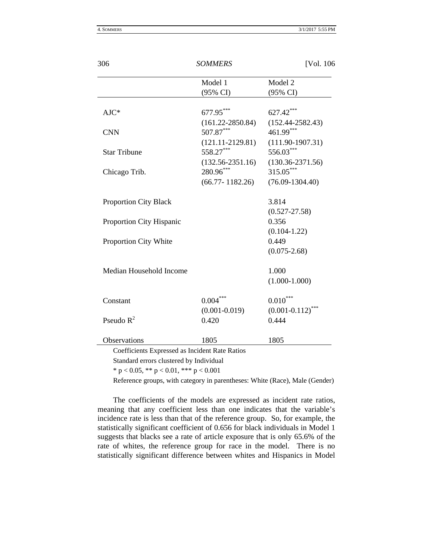| Model 1              | Model 2                                                                                                                |
|----------------------|------------------------------------------------------------------------------------------------------------------------|
| (95% CI)             | (95% CI)                                                                                                               |
|                      | 627.42***                                                                                                              |
|                      | $(152.44 - 2582.43)$                                                                                                   |
| 507.87***            | 461.99***                                                                                                              |
| $(121.11 - 2129.81)$ | $(111.90-1907.31)$                                                                                                     |
| 558.27***            | 556.03***                                                                                                              |
| $(132.56 - 2351.16)$ | $(130.36 - 2371.56)$                                                                                                   |
| 280.96***            | 315.05***                                                                                                              |
| $(66.77 - 1182.26)$  | $(76.09 - 1304.40)$                                                                                                    |
|                      | 3.814                                                                                                                  |
|                      | $(0.527 - 27.58)$                                                                                                      |
|                      | 0.356                                                                                                                  |
|                      | $(0.104 - 1.22)$                                                                                                       |
|                      | 0.449                                                                                                                  |
|                      | $(0.075 - 2.68)$                                                                                                       |
|                      | 1.000                                                                                                                  |
|                      | $(1.000-1.000)$                                                                                                        |
|                      | $0.010^{\circ}$                                                                                                        |
|                      | $(0.001 - 0.112)$ ***                                                                                                  |
| 0.420                | 0.444                                                                                                                  |
| 1805                 | 1805                                                                                                                   |
|                      | 677.95***<br>$(161.22 - 2850.84)$<br>$0.004***$<br>$(0.001 - 0.019)$<br>Coefficients Expressed as Incident Rate Ratios |

Standard errors clustered by Individual

\* p < 0.05, \*\* p < 0.01, \*\*\* p < 0.001

Reference groups, with category in parentheses: White (Race), Male (Gender)

The coefficients of the models are expressed as incident rate ratios, meaning that any coefficient less than one indicates that the variable's incidence rate is less than that of the reference group. So, for example, the statistically significant coefficient of 0.656 for black individuals in Model 1 suggests that blacks see a rate of article exposure that is only 65.6% of the rate of whites, the reference group for race in the model. There is no statistically significant difference between whites and Hispanics in Model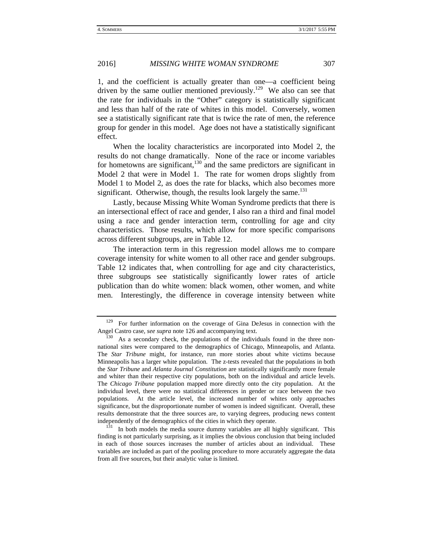1, and the coefficient is actually greater than one—a coefficient being driven by the same outlier mentioned previously.<sup>129</sup> We also can see that the rate for individuals in the "Other" category is statistically significant and less than half of the rate of whites in this model. Conversely, women see a statistically significant rate that is twice the rate of men, the reference group for gender in this model. Age does not have a statistically significant effect.

When the locality characteristics are incorporated into Model 2, the results do not change dramatically. None of the race or income variables for hometowns are significant, $130$  and the same predictors are significant in Model 2 that were in Model 1. The rate for women drops slightly from Model 1 to Model 2, as does the rate for blacks, which also becomes more significant. Otherwise, though, the results look largely the same.<sup>131</sup>

Lastly, because Missing White Woman Syndrome predicts that there is an intersectional effect of race and gender, I also ran a third and final model using a race and gender interaction term, controlling for age and city characteristics. Those results, which allow for more specific comparisons across different subgroups, are in Table 12.

The interaction term in this regression model allows me to compare coverage intensity for white women to all other race and gender subgroups. Table 12 indicates that, when controlling for age and city characteristics, three subgroups see statistically significantly lower rates of article publication than do white women: black women, other women, and white men. Interestingly, the difference in coverage intensity between white

<sup>&</sup>lt;sup>129</sup> For further information on the coverage of Gina DeJesus in connection with the Angel Castro case, *see supra* note 126 and accompanying text.<br><sup>130</sup> As a secondary check, the populations of the individuals found in the three non-

national sites were compared to the demographics of Chicago, Minneapolis, and Atlanta. The *Star Tribune* might, for instance, run more stories about white victims because Minneapolis has a larger white population. The z-tests revealed that the populations in both the *Star Tribune* and *Atlanta Journal Constitution* are statistically significantly more female and whiter than their respective city populations, both on the individual and article levels. The *Chicago Tribune* population mapped more directly onto the city population. At the individual level, there were no statistical differences in gender or race between the two populations. At the article level, the increased number of whites only approaches significance, but the disproportionate number of women is indeed significant. Overall, these results demonstrate that the three sources are, to varying degrees, producing news content

independently of the demographics of the cities in which they operate.<br><sup>131</sup> In both models the media source dummy variables are all highly significant. This finding is not particularly surprising, as it implies the obvious conclusion that being included in each of those sources increases the number of articles about an individual. These variables are included as part of the pooling procedure to more accurately aggregate the data from all five sources, but their analytic value is limited.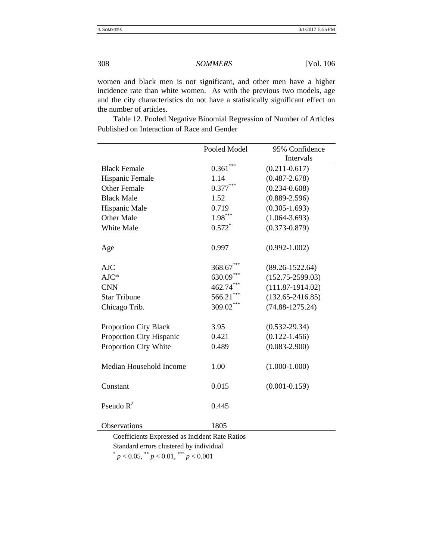women and black men is not significant, and other men have a higher incidence rate than white women. As with the previous two models, age and the city characteristics do not have a statistically significant effect on the number of articles.

|                              | Pooled Model | 95% Confidence       |
|------------------------------|--------------|----------------------|
|                              |              | Intervals            |
| <b>Black Female</b>          | 0.361        | $(0.211 - 0.617)$    |
| Hispanic Female              | 1.14         | $(0.487 - 2.678)$    |
| <b>Other Female</b>          | $0.377***$   | $(0.234 - 0.608)$    |
| <b>Black Male</b>            | 1.52         | $(0.889 - 2.596)$    |
| Hispanic Male                | 0.719        | $(0.305 - 1.693)$    |
| Other Male                   | $1.98***$    | $(1.064 - 3.693)$    |
| White Male                   | $0.572*$     | $(0.373 - 0.879)$    |
| Age                          | 0.997        | $(0.992 - 1.002)$    |
| <b>AJC</b>                   | 368.67       | $(89.26 - 1522.64)$  |
| $AJC*$                       | 630.09       | $(152.75 - 2599.03)$ |
| <b>CNN</b>                   | 462.74***    | $(111.87-1914.02)$   |
| <b>Star Tribune</b>          | 566.21       | $(132.65 - 2416.85)$ |
| Chicago Trib.                | 309.02***    | $(74.88 - 1275.24)$  |
| <b>Proportion City Black</b> | 3.95         | $(0.532 - 29.34)$    |
| Proportion City Hispanic     | 0.421        | $(0.122 - 1.456)$    |
| Proportion City White        | 0.489        | $(0.083 - 2.900)$    |
| Median Household Income      | 1.00         | $(1.000-1.000)$      |
| Constant                     | 0.015        | $(0.001 - 0.159)$    |
| Pseudo $R^2$                 | 0.445        |                      |
| Observations                 | 1805         |                      |

 Table 12. Pooled Negative Binomial Regression of Number of Articles Published on Interaction of Race and Gender

Coefficients Expressed as Incident Rate Ratios Standard errors clustered by individual  $p < 0.05$ ,  $p < 0.01$ ,  $p < 0.001$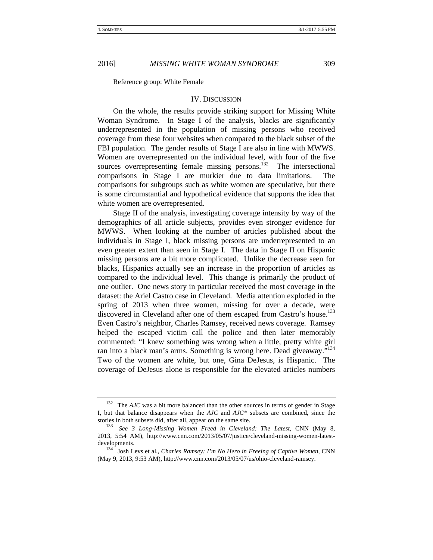Reference group: White Female

#### IV. DISCUSSION

On the whole, the results provide striking support for Missing White Woman Syndrome. In Stage I of the analysis, blacks are significantly underrepresented in the population of missing persons who received coverage from these four websites when compared to the black subset of the FBI population. The gender results of Stage I are also in line with MWWS. Women are overrepresented on the individual level, with four of the five sources overrepresenting female missing persons.<sup>132</sup> The intersectional comparisons in Stage I are murkier due to data limitations. The comparisons for subgroups such as white women are speculative, but there is some circumstantial and hypothetical evidence that supports the idea that white women are overrepresented.

Stage II of the analysis, investigating coverage intensity by way of the demographics of all article subjects, provides even stronger evidence for MWWS. When looking at the number of articles published about the individuals in Stage I, black missing persons are underrepresented to an even greater extent than seen in Stage I. The data in Stage II on Hispanic missing persons are a bit more complicated. Unlike the decrease seen for blacks, Hispanics actually see an increase in the proportion of articles as compared to the individual level. This change is primarily the product of one outlier. One news story in particular received the most coverage in the dataset: the Ariel Castro case in Cleveland. Media attention exploded in the spring of 2013 when three women, missing for over a decade, were discovered in Cleveland after one of them escaped from Castro's house.<sup>133</sup> Even Castro's neighbor, Charles Ramsey, received news coverage. Ramsey helped the escaped victim call the police and then later memorably commented: "I knew something was wrong when a little, pretty white girl ran into a black man's arms. Something is wrong here. Dead giveaway."<sup>134</sup> Two of the women are white, but one, Gina DeJesus, is Hispanic. The coverage of DeJesus alone is responsible for the elevated articles numbers

<sup>&</sup>lt;sup>132</sup> The *AJC* was a bit more balanced than the other sources in terms of gender in Stage I, but that balance disappears when the *AJC* and *AJC\** subsets are combined, since the stories in both subsets did, after all, appear on the same site.<br><sup>133</sup> *See* 3 *Long-Missing Women Freed in Cleveland: The Latest*, CNN (May 8,

<sup>2013, 5:54</sup> AM), http://www.cnn.com/2013/05/07/justice/cleveland-missing-women-latest-

developments. 134 Josh Levs et al., *Charles Ramsey: I'm No Hero in Freeing of Captive Women*, CNN (May 9, 2013, 9:53 AM), http://www.cnn.com/2013/05/07/us/ohio-cleveland-ramsey.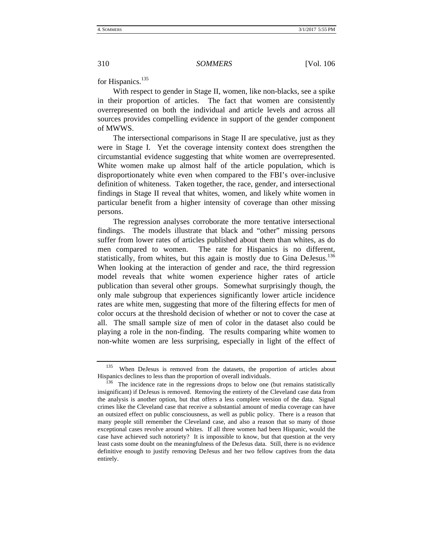for Hispanics.<sup>135</sup>

With respect to gender in Stage II, women, like non-blacks, see a spike in their proportion of articles. The fact that women are consistently overrepresented on both the individual and article levels and across all sources provides compelling evidence in support of the gender component of MWWS.

The intersectional comparisons in Stage II are speculative, just as they were in Stage I. Yet the coverage intensity context does strengthen the circumstantial evidence suggesting that white women are overrepresented. White women make up almost half of the article population, which is disproportionately white even when compared to the FBI's over-inclusive definition of whiteness. Taken together, the race, gender, and intersectional findings in Stage II reveal that whites, women, and likely white women in particular benefit from a higher intensity of coverage than other missing persons.

The regression analyses corroborate the more tentative intersectional findings. The models illustrate that black and "other" missing persons suffer from lower rates of articles published about them than whites, as do men compared to women. The rate for Hispanics is no different, statistically, from whites, but this again is mostly due to Gina DeJesus.<sup>136</sup> When looking at the interaction of gender and race, the third regression model reveals that white women experience higher rates of article publication than several other groups. Somewhat surprisingly though, the only male subgroup that experiences significantly lower article incidence rates are white men, suggesting that more of the filtering effects for men of color occurs at the threshold decision of whether or not to cover the case at all. The small sample size of men of color in the dataset also could be playing a role in the non-finding. The results comparing white women to non-white women are less surprising, especially in light of the effect of

<sup>&</sup>lt;sup>135</sup> When DeJesus is removed from the datasets, the proportion of articles about Hispanics declines to less than the proportion of overall individuals.

 $^{136}$  The incidence rate in the regressions drops to below one (but remains statistically insignificant) if DeJesus is removed. Removing the entirety of the Cleveland case data from the analysis is another option, but that offers a less complete version of the data. Signal crimes like the Cleveland case that receive a substantial amount of media coverage can have an outsized effect on public consciousness, as well as public policy. There is a reason that many people still remember the Cleveland case, and also a reason that so many of those exceptional cases revolve around whites. If all three women had been Hispanic, would the case have achieved such notoriety? It is impossible to know, but that question at the very least casts some doubt on the meaningfulness of the DeJesus data. Still, there is no evidence definitive enough to justify removing DeJesus and her two fellow captives from the data entirely.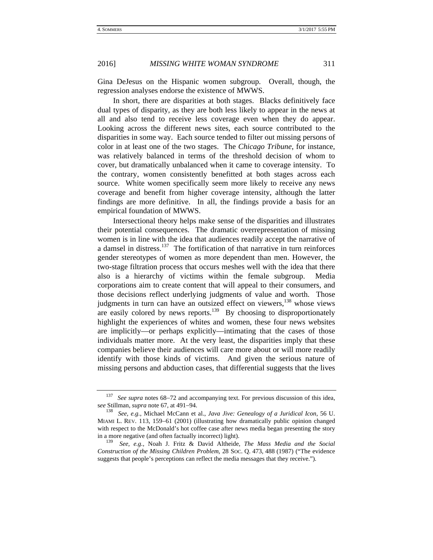Gina DeJesus on the Hispanic women subgroup. Overall, though, the regression analyses endorse the existence of MWWS.

In short, there are disparities at both stages. Blacks definitively face dual types of disparity, as they are both less likely to appear in the news at all and also tend to receive less coverage even when they do appear. Looking across the different news sites, each source contributed to the disparities in some way. Each source tended to filter out missing persons of color in at least one of the two stages. The *Chicago Tribune*, for instance, was relatively balanced in terms of the threshold decision of whom to cover, but dramatically unbalanced when it came to coverage intensity. To the contrary, women consistently benefitted at both stages across each source. White women specifically seem more likely to receive any news coverage and benefit from higher coverage intensity, although the latter findings are more definitive. In all, the findings provide a basis for an empirical foundation of MWWS.

Intersectional theory helps make sense of the disparities and illustrates their potential consequences. The dramatic overrepresentation of missing women is in line with the idea that audiences readily accept the narrative of a damsel in distress.<sup>137</sup> The fortification of that narrative in turn reinforces gender stereotypes of women as more dependent than men. However, the two-stage filtration process that occurs meshes well with the idea that there also is a hierarchy of victims within the female subgroup. Media corporations aim to create content that will appeal to their consumers, and those decisions reflect underlying judgments of value and worth. Those judgments in turn can have an outsized effect on viewers,<sup>138</sup> whose views are easily colored by news reports.<sup>139</sup> By choosing to disproportionately highlight the experiences of whites and women, these four news websites are implicitly—or perhaps explicitly—intimating that the cases of those individuals matter more. At the very least, the disparities imply that these companies believe their audiences will care more about or will more readily identify with those kinds of victims. And given the serious nature of missing persons and abduction cases, that differential suggests that the lives

<sup>&</sup>lt;sup>137</sup> *See supra* notes 68–72 and accompanying text. For previous discussion of this idea, see Stillman, *supra* note 67, at 491–94.

See, e.g., Michael McCann et al., *Java Jive: Genealogy of a Juridical Icon*, 56 U. MIAMI L. REV. 113, 159–61 (2001) (illustrating how dramatically public opinion changed with respect to the McDonald's hot coffee case after news media began presenting the story in a more negative (and often factually incorrect) light).<br> $\frac{139}{139}$  See e.g. Noah L. Fritz, & David Altheida

<sup>139</sup> *See, e.g.*, Noah J. Fritz & David Altheide, *The Mass Media and the Social Construction of the Missing Children Problem*, 28 SOC. Q. 473, 488 (1987) ("The evidence suggests that people's perceptions can reflect the media messages that they receive.").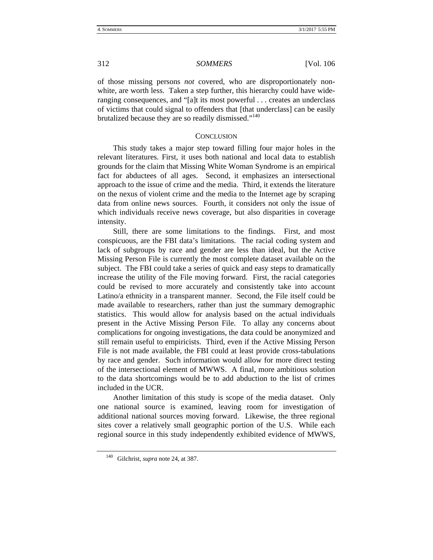of those missing persons *not* covered, who are disproportionately nonwhite, are worth less. Taken a step further, this hierarchy could have wideranging consequences, and "[a]t its most powerful . . . creates an underclass of victims that could signal to offenders that [that underclass] can be easily brutalized because they are so readily dismissed."<sup>140</sup>

#### **CONCLUSION**

This study takes a major step toward filling four major holes in the relevant literatures. First, it uses both national and local data to establish grounds for the claim that Missing White Woman Syndrome is an empirical fact for abductees of all ages. Second, it emphasizes an intersectional approach to the issue of crime and the media. Third, it extends the literature on the nexus of violent crime and the media to the Internet age by scraping data from online news sources. Fourth, it considers not only the issue of which individuals receive news coverage, but also disparities in coverage intensity.

Still, there are some limitations to the findings. First, and most conspicuous, are the FBI data's limitations. The racial coding system and lack of subgroups by race and gender are less than ideal, but the Active Missing Person File is currently the most complete dataset available on the subject. The FBI could take a series of quick and easy steps to dramatically increase the utility of the File moving forward. First, the racial categories could be revised to more accurately and consistently take into account Latino/a ethnicity in a transparent manner. Second, the File itself could be made available to researchers, rather than just the summary demographic statistics. This would allow for analysis based on the actual individuals present in the Active Missing Person File. To allay any concerns about complications for ongoing investigations, the data could be anonymized and still remain useful to empiricists. Third, even if the Active Missing Person File is not made available, the FBI could at least provide cross-tabulations by race and gender. Such information would allow for more direct testing of the intersectional element of MWWS. A final, more ambitious solution to the data shortcomings would be to add abduction to the list of crimes included in the UCR.

Another limitation of this study is scope of the media dataset. Only one national source is examined, leaving room for investigation of additional national sources moving forward. Likewise, the three regional sites cover a relatively small geographic portion of the U.S. While each regional source in this study independently exhibited evidence of MWWS,

<sup>140</sup> Gilchrist, *supra* note 24, at 387.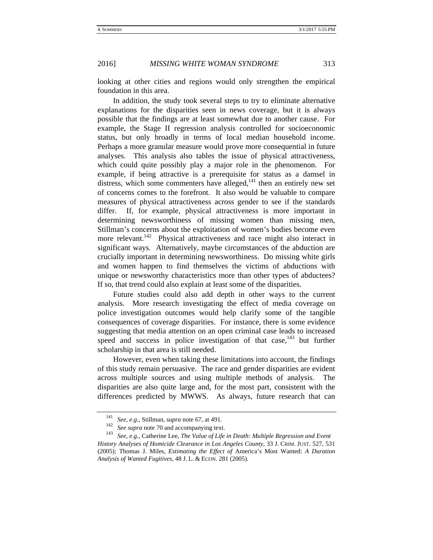looking at other cities and regions would only strengthen the empirical foundation in this area.

In addition, the study took several steps to try to eliminate alternative explanations for the disparities seen in news coverage, but it is always possible that the findings are at least somewhat due to another cause. For example, the Stage II regression analysis controlled for socioeconomic status, but only broadly in terms of local median household income. Perhaps a more granular measure would prove more consequential in future analyses. This analysis also tables the issue of physical attractiveness, which could quite possibly play a major role in the phenomenon. For example, if being attractive is a prerequisite for status as a damsel in distress, which some commenters have alleged,<sup>141</sup> then an entirely new set of concerns comes to the forefront. It also would be valuable to compare measures of physical attractiveness across gender to see if the standards differ. If, for example, physical attractiveness is more important in determining newsworthiness of missing women than missing men, Stillman's concerns about the exploitation of women's bodies become even more relevant.<sup>142</sup> Physical attractiveness and race might also interact in significant ways. Alternatively, maybe circumstances of the abduction are crucially important in determining newsworthiness. Do missing white girls and women happen to find themselves the victims of abductions with unique or newsworthy characteristics more than other types of abductees? If so, that trend could also explain at least some of the disparities.

Future studies could also add depth in other ways to the current analysis. More research investigating the effect of media coverage on police investigation outcomes would help clarify some of the tangible consequences of coverage disparities. For instance, there is some evidence suggesting that media attention on an open criminal case leads to increased speed and success in police investigation of that case, $143$  but further scholarship in that area is still needed.

However, even when taking these limitations into account, the findings of this study remain persuasive. The race and gender disparities are evident across multiple sources and using multiple methods of analysis. The disparities are also quite large and, for the most part, consistent with the differences predicted by MWWS. As always, future research that can

<sup>141</sup> *See, e.g.*, Stillman, *supra* note 67, at 491. 142 *See supra* note 70 and accompanying text. 143 *See, e.g.*, Catherine Lee, *The Value of Life in Death: Multiple Regression and Event History Analyses of Homicide Clearance in Los Angeles County,* 33 J. CRIM. JUST. 527, 531 (2005); Thomas J. Miles, *Estimating the Effect of* America's Most Wanted: *A Duration Analysis of Wanted Fugitives,* 48 J. L. & ECON. 281 (2005).